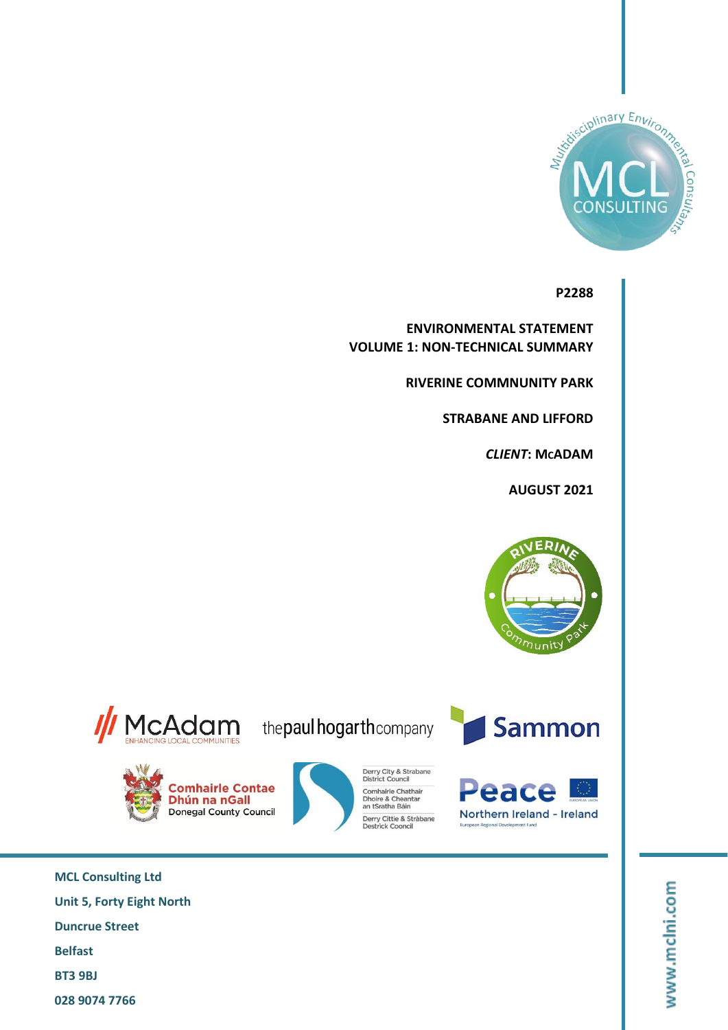

**P2288**

**ENVIRONMENTAL STATEMENT VOLUME 1: NON-TECHNICAL SUMMARY**

**RIVERINE COMMNUNITY PARK**

**STRABANE AND LIFFORD**

*CLIENT***: MCADAM**

**AUGUST 2021**



McAdam the paul hogarthcompany

**Comhairle Contae** 

Donegal County Council

Dhún na nGall

Derry City & Strabane<br>District Council

Derry Cittie & Stràbane<br>Destrick Cooncil

Comhairle Chathair

Dhoire & Cheantar<br>an tSratha Báin





**MCL Consulting Ltd Unit 5, Forty Eight North Duncrue Street Belfast BT3 9BJ 028 9074 7766**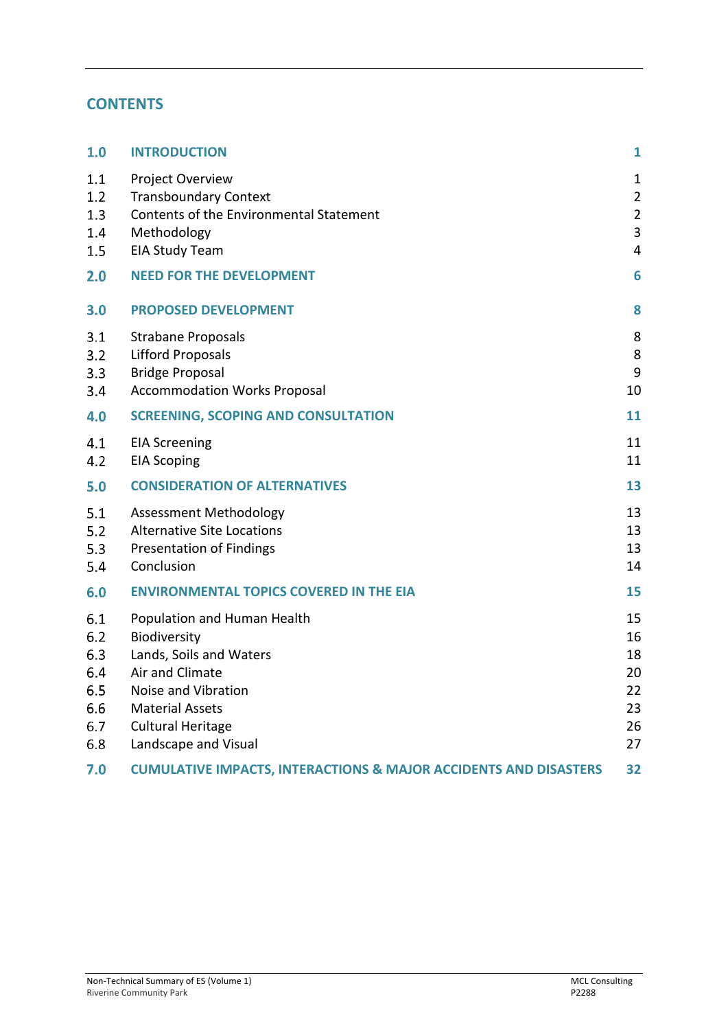# **CONTENTS**

| 1.0                                                  | <b>INTRODUCTION</b>                                                                                                                                                                            | $\mathbf{1}$                                                          |
|------------------------------------------------------|------------------------------------------------------------------------------------------------------------------------------------------------------------------------------------------------|-----------------------------------------------------------------------|
| 1.1<br>1.2<br>1.3<br>1.4<br>1.5                      | Project Overview<br><b>Transboundary Context</b><br>Contents of the Environmental Statement<br>Methodology<br><b>EIA Study Team</b>                                                            | $\mathbf{1}$<br>$\overline{2}$<br>$\overline{2}$<br>$\mathbf{3}$<br>4 |
| 2.0                                                  | <b>NEED FOR THE DEVELOPMENT</b>                                                                                                                                                                | 6                                                                     |
| 3.0                                                  | <b>PROPOSED DEVELOPMENT</b>                                                                                                                                                                    | 8                                                                     |
| 3.1<br>3.2<br>3.3<br>3.4                             | <b>Strabane Proposals</b><br><b>Lifford Proposals</b><br><b>Bridge Proposal</b><br><b>Accommodation Works Proposal</b>                                                                         | 8<br>8<br>9<br>10                                                     |
| 4.0                                                  | <b>SCREENING, SCOPING AND CONSULTATION</b>                                                                                                                                                     | 11                                                                    |
| 4.1<br>4.2                                           | <b>EIA Screening</b><br><b>EIA Scoping</b>                                                                                                                                                     | 11<br>11                                                              |
| 5.0                                                  | <b>CONSIDERATION OF ALTERNATIVES</b>                                                                                                                                                           | 13                                                                    |
| 5.1<br>5.2<br>5.3<br>5.4                             | <b>Assessment Methodology</b><br><b>Alternative Site Locations</b><br><b>Presentation of Findings</b><br>Conclusion                                                                            | 13<br>13<br>13<br>14                                                  |
| 6.0                                                  | <b>ENVIRONMENTAL TOPICS COVERED IN THE EIA</b>                                                                                                                                                 | 15                                                                    |
| 6.1<br>6.2<br>6.3<br>6.4<br>6.5<br>6.6<br>6.7<br>6.8 | Population and Human Health<br>Biodiversity<br>Lands, Soils and Waters<br>Air and Climate<br>Noise and Vibration<br><b>Material Assets</b><br><b>Cultural Heritage</b><br>Landscape and Visual | 15<br>16<br>18<br>20<br>22<br>23<br>26<br>27                          |
| 7.0                                                  | <b>CUMULATIVE IMPACTS, INTERACTIONS &amp; MAJOR ACCIDENTS AND DISASTERS</b>                                                                                                                    | 32                                                                    |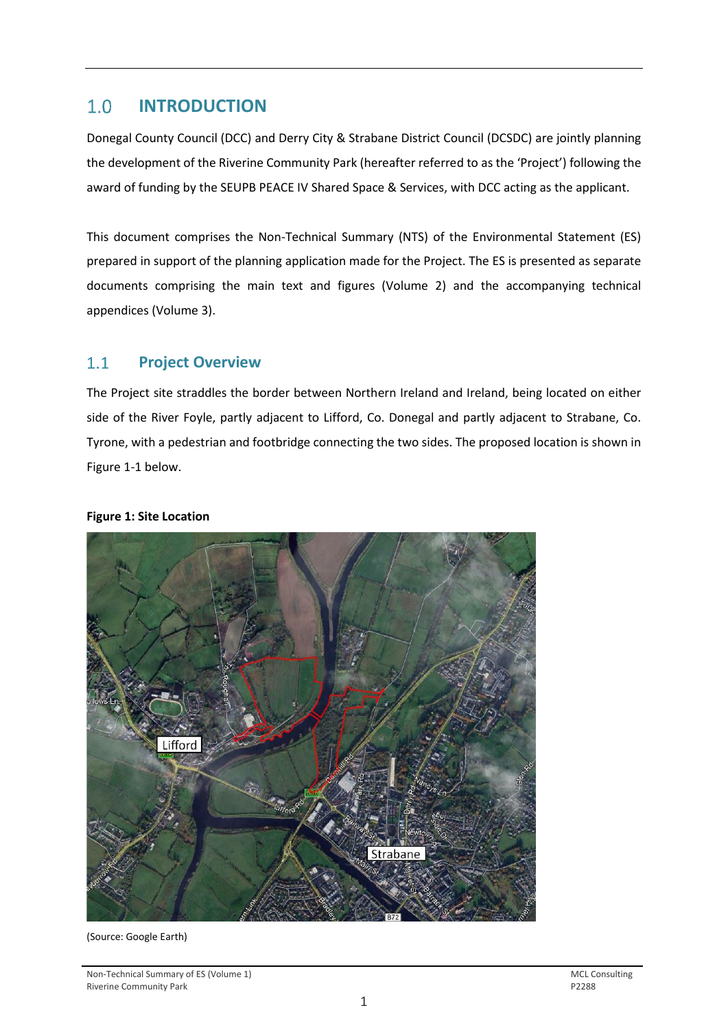#### <span id="page-2-0"></span> $1.0$ **INTRODUCTION**

Donegal County Council (DCC) and Derry City & Strabane District Council (DCSDC) are jointly planning the development of the Riverine Community Park (hereafter referred to as the 'Project') following the award of funding by the SEUPB PEACE IV Shared Space & Services, with DCC acting as the applicant.

This document comprises the Non-Technical Summary (NTS) of the Environmental Statement (ES) prepared in support of the planning application made for the Project. The ES is presented as separate documents comprising the main text and figures (Volume 2) and the accompanying technical appendices (Volume 3).

#### <span id="page-2-1"></span> $1.1$ **Project Overview**

The Project site straddles the border between Northern Ireland and Ireland, being located on either side of the River Foyle, partly adjacent to Lifford, Co. Donegal and partly adjacent to Strabane, Co. Tyrone, with a pedestrian and footbridge connecting the two sides. The proposed location is shown in Figure 1-1 below.

### **Figure 1: Site Location**



### (Source: Google Earth)

Non-Technical Summary of ES (Volume 1)<br>
Riverine Community Park<br>
Riverine Community Park Riverine Community Park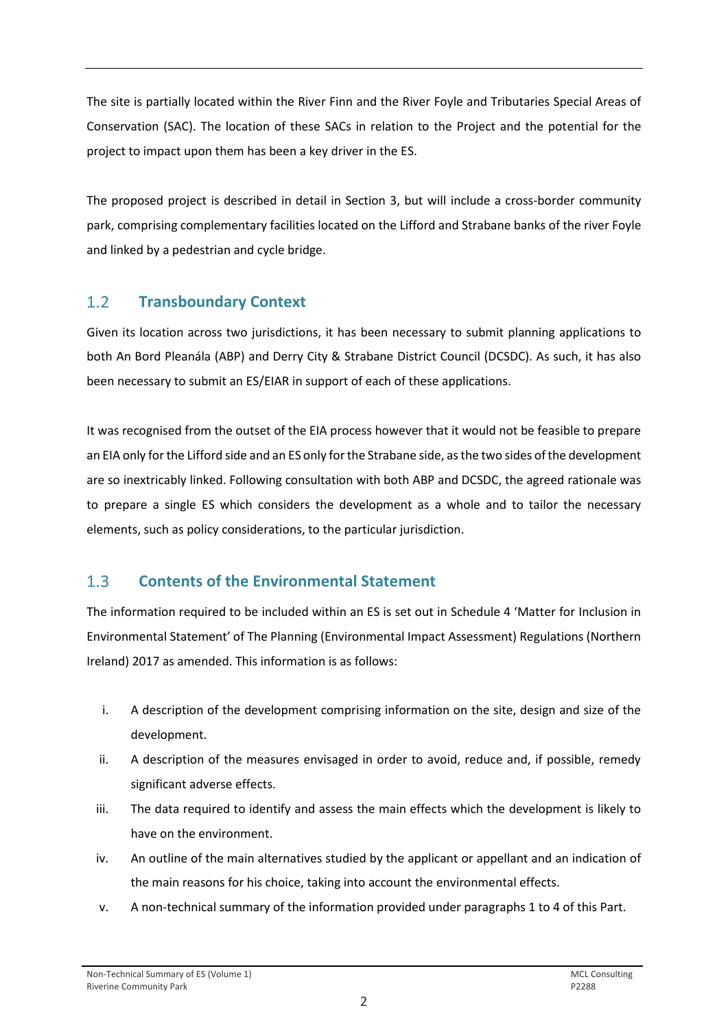The site is partially located within the River Finn and the River Foyle and Tributaries Special Areas of Conservation (SAC). The location of these SACs in relation to the Project and the potential for the project to impact upon them has been a key driver in the ES.

The proposed project is described in detail in Section 3, but will include a cross-border community park, comprising complementary facilities located on the Lifford and Strabane banks of the river Foyle and linked by a pedestrian and cycle bridge.

#### <span id="page-3-0"></span> $1.2$ **Transboundary Context**

Given its location across two jurisdictions, it has been necessary to submit planning applications to both An Bord Pleanála (ABP) and Derry City & Strabane District Council (DCSDC). As such, it has also been necessary to submit an ES/EIAR in support of each of these applications.

It was recognised from the outset of the EIA process however that it would not be feasible to prepare an EIA only for the Lifford side and an ES only for the Strabane side, as the two sides of the development are so inextricably linked. Following consultation with both ABP and DCSDC, the agreed rationale was to prepare a single ES which considers the development as a whole and to tailor the necessary elements, such as policy considerations, to the particular jurisdiction.

#### <span id="page-3-1"></span> $1.3$ **Contents of the Environmental Statement**

The information required to be included within an ES is set out in Schedule 4 'Matter for Inclusion in Environmental Statement' of The Planning (Environmental Impact Assessment) Regulations (Northern Ireland) 2017 as amended. This information is as follows:

- i. A description of the development comprising information on the site, design and size of the development.
- ii. A description of the measures envisaged in order to avoid, reduce and, if possible, remedy significant adverse effects.
- iii. The data required to identify and assess the main effects which the development is likely to have on the environment.
- iv. An outline of the main alternatives studied by the applicant or appellant and an indication of the main reasons for his choice, taking into account the environmental effects.
- v. A non-technical summary of the information provided under paragraphs 1 to 4 of this Part.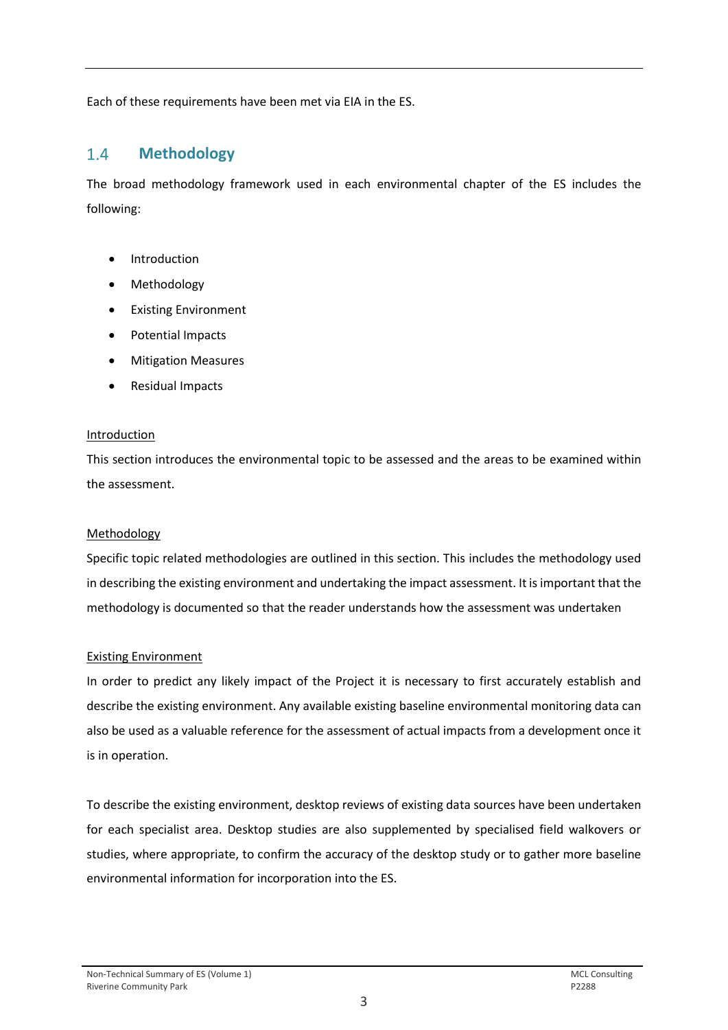Each of these requirements have been met via EIA in the ES.

#### <span id="page-4-0"></span> $1.4$ **Methodology**

The broad methodology framework used in each environmental chapter of the ES includes the following:

- **Introduction**
- Methodology
- Existing Environment
- Potential Impacts
- Mitigation Measures
- Residual Impacts

### **Introduction**

This section introduces the environmental topic to be assessed and the areas to be examined within the assessment.

### Methodology

Specific topic related methodologies are outlined in this section. This includes the methodology used in describing the existing environment and undertaking the impact assessment. It is important that the methodology is documented so that the reader understands how the assessment was undertaken

### Existing Environment

In order to predict any likely impact of the Project it is necessary to first accurately establish and describe the existing environment. Any available existing baseline environmental monitoring data can also be used as a valuable reference for the assessment of actual impacts from a development once it is in operation.

To describe the existing environment, desktop reviews of existing data sources have been undertaken for each specialist area. Desktop studies are also supplemented by specialised field walkovers or studies, where appropriate, to confirm the accuracy of the desktop study or to gather more baseline environmental information for incorporation into the ES.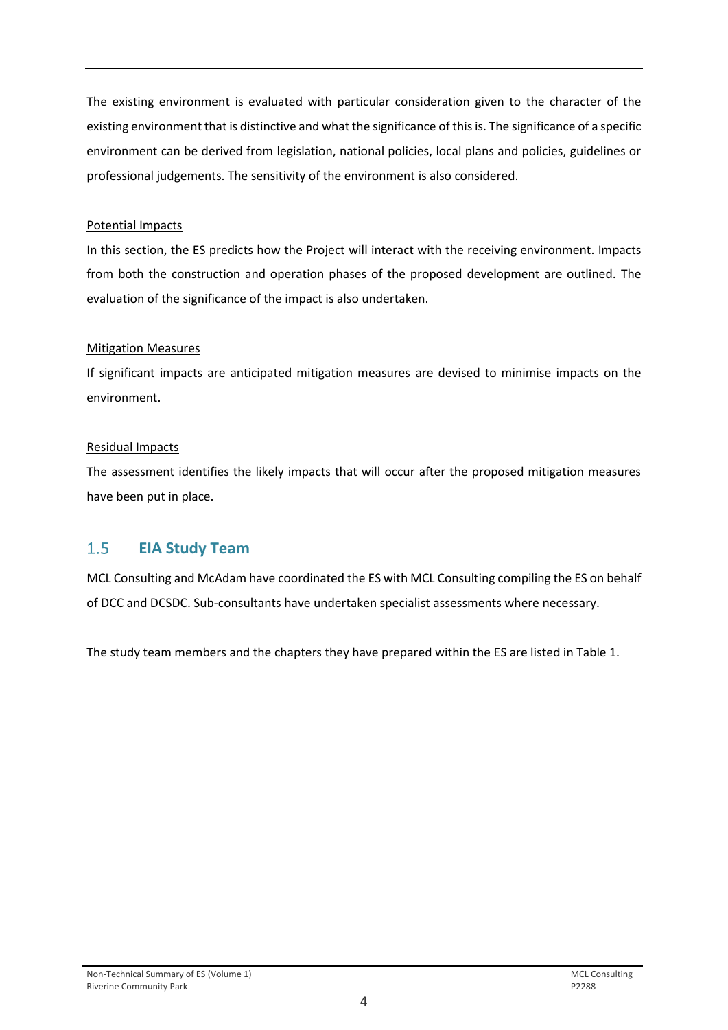The existing environment is evaluated with particular consideration given to the character of the existing environment that is distinctive and what the significance of this is. The significance of a specific environment can be derived from legislation, national policies, local plans and policies, guidelines or professional judgements. The sensitivity of the environment is also considered.

### Potential Impacts

In this section, the ES predicts how the Project will interact with the receiving environment. Impacts from both the construction and operation phases of the proposed development are outlined. The evaluation of the significance of the impact is also undertaken.

### **Mitigation Measures**

If significant impacts are anticipated mitigation measures are devised to minimise impacts on the environment.

## Residual Impacts

The assessment identifies the likely impacts that will occur after the proposed mitigation measures have been put in place.

#### <span id="page-5-0"></span> $1.5$ **EIA Study Team**

MCL Consulting and McAdam have coordinated the ES with MCL Consulting compiling the ES on behalf of DCC and DCSDC. Sub-consultants have undertaken specialist assessments where necessary.

The study team members and the chapters they have prepared within the ES are listed in Table 1.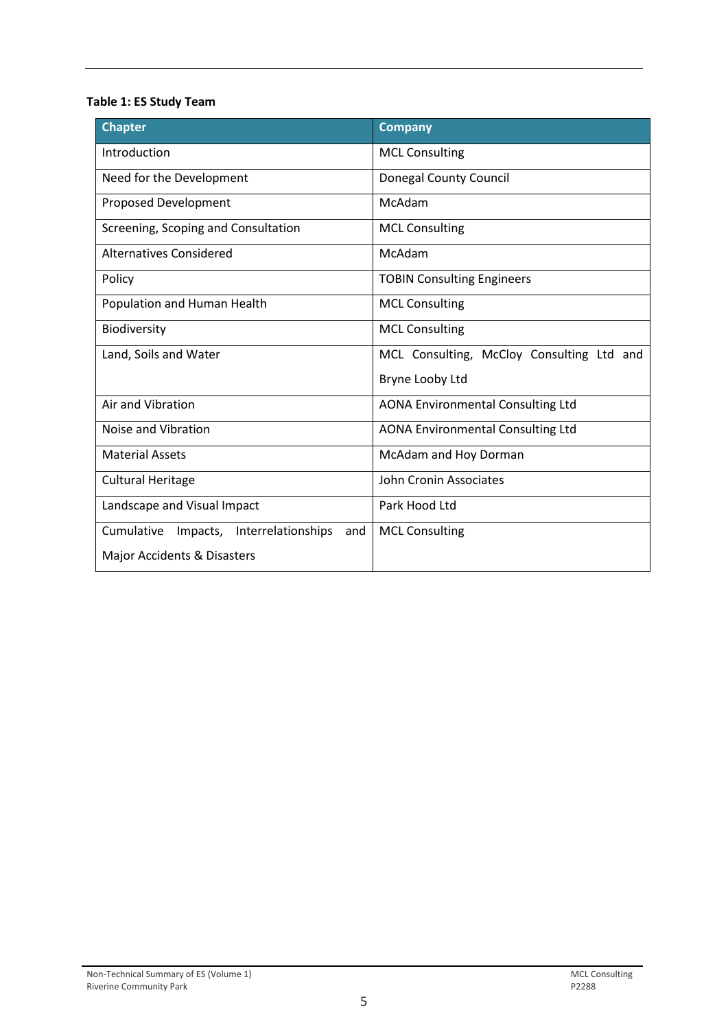## **Table 1: ES Study Team**

| <b>Chapter</b>                                   | <b>Company</b>                            |  |  |  |
|--------------------------------------------------|-------------------------------------------|--|--|--|
| Introduction                                     | <b>MCL Consulting</b>                     |  |  |  |
| Need for the Development                         | <b>Donegal County Council</b>             |  |  |  |
| Proposed Development                             | McAdam                                    |  |  |  |
| Screening, Scoping and Consultation              | <b>MCL Consulting</b>                     |  |  |  |
| <b>Alternatives Considered</b>                   | McAdam                                    |  |  |  |
| Policy                                           | <b>TOBIN Consulting Engineers</b>         |  |  |  |
| Population and Human Health                      | <b>MCL Consulting</b>                     |  |  |  |
| Biodiversity                                     | <b>MCL Consulting</b>                     |  |  |  |
| Land, Soils and Water                            | MCL Consulting, McCloy Consulting Ltd and |  |  |  |
|                                                  | Bryne Looby Ltd                           |  |  |  |
| Air and Vibration                                | <b>AONA Environmental Consulting Ltd</b>  |  |  |  |
| Noise and Vibration                              | <b>AONA Environmental Consulting Ltd</b>  |  |  |  |
| <b>Material Assets</b>                           | McAdam and Hoy Dorman                     |  |  |  |
| <b>Cultural Heritage</b>                         | John Cronin Associates                    |  |  |  |
| Landscape and Visual Impact                      | Park Hood Ltd                             |  |  |  |
| Cumulative<br>Impacts, Interrelationships<br>and | <b>MCL Consulting</b>                     |  |  |  |
| Major Accidents & Disasters                      |                                           |  |  |  |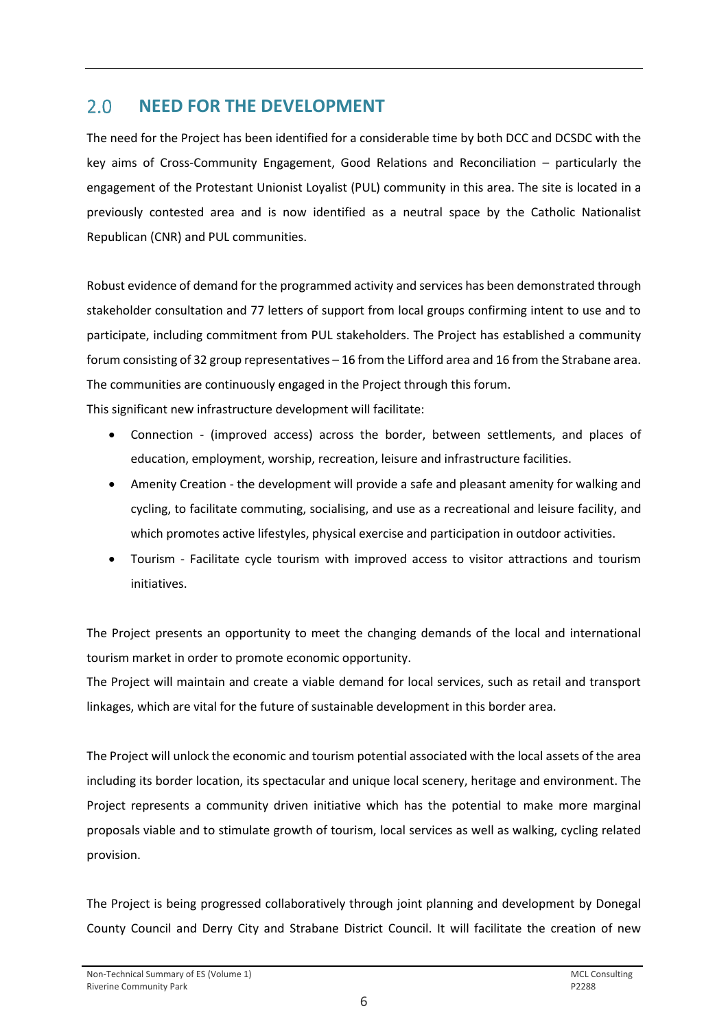#### <span id="page-7-0"></span> $2.0$ **NEED FOR THE DEVELOPMENT**

The need for the Project has been identified for a considerable time by both DCC and DCSDC with the key aims of Cross-Community Engagement, Good Relations and Reconciliation – particularly the engagement of the Protestant Unionist Loyalist (PUL) community in this area. The site is located in a previously contested area and is now identified as a neutral space by the Catholic Nationalist Republican (CNR) and PUL communities.

Robust evidence of demand for the programmed activity and services has been demonstrated through stakeholder consultation and 77 letters of support from local groups confirming intent to use and to participate, including commitment from PUL stakeholders. The Project has established a community forum consisting of 32 group representatives – 16 from the Lifford area and 16 from the Strabane area. The communities are continuously engaged in the Project through this forum.

This significant new infrastructure development will facilitate:

- Connection (improved access) across the border, between settlements, and places of education, employment, worship, recreation, leisure and infrastructure facilities.
- Amenity Creation the development will provide a safe and pleasant amenity for walking and cycling, to facilitate commuting, socialising, and use as a recreational and leisure facility, and which promotes active lifestyles, physical exercise and participation in outdoor activities.
- Tourism Facilitate cycle tourism with improved access to visitor attractions and tourism initiatives.

The Project presents an opportunity to meet the changing demands of the local and international tourism market in order to promote economic opportunity.

The Project will maintain and create a viable demand for local services, such as retail and transport linkages, which are vital for the future of sustainable development in this border area.

The Project will unlock the economic and tourism potential associated with the local assets of the area including its border location, its spectacular and unique local scenery, heritage and environment. The Project represents a community driven initiative which has the potential to make more marginal proposals viable and to stimulate growth of tourism, local services as well as walking, cycling related provision.

The Project is being progressed collaboratively through joint planning and development by Donegal County Council and Derry City and Strabane District Council. It will facilitate the creation of new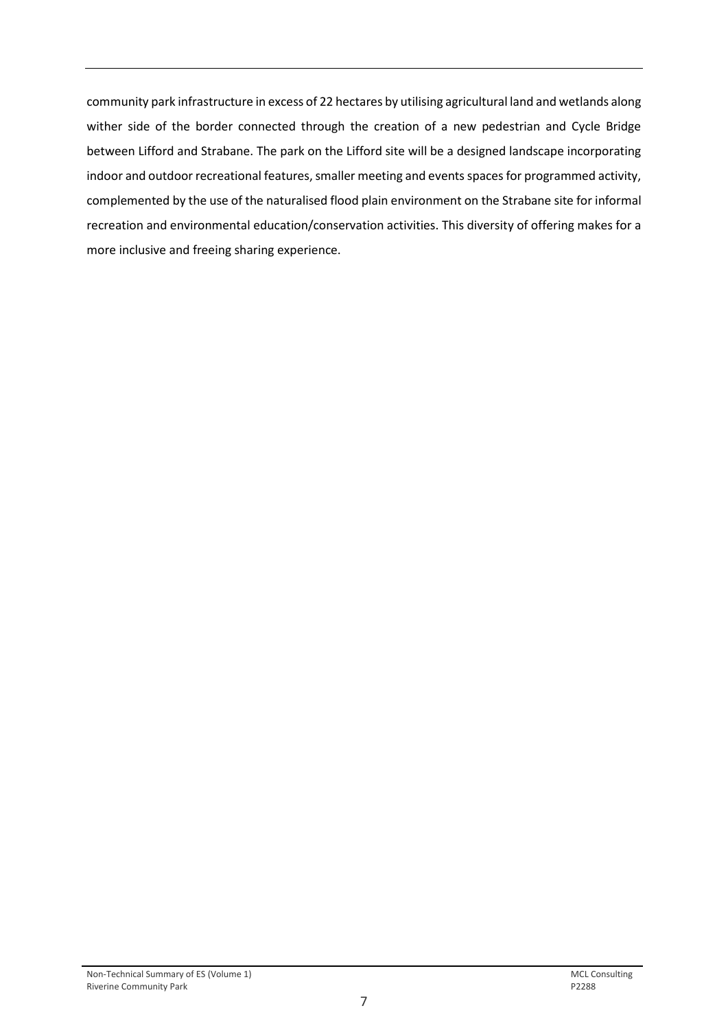community park infrastructure in excess of 22 hectares by utilising agricultural land and wetlands along wither side of the border connected through the creation of a new pedestrian and Cycle Bridge between Lifford and Strabane. The park on the Lifford site will be a designed landscape incorporating indoor and outdoor recreational features, smaller meeting and events spaces for programmed activity, complemented by the use of the naturalised flood plain environment on the Strabane site for informal recreation and environmental education/conservation activities. This diversity of offering makes for a more inclusive and freeing sharing experience.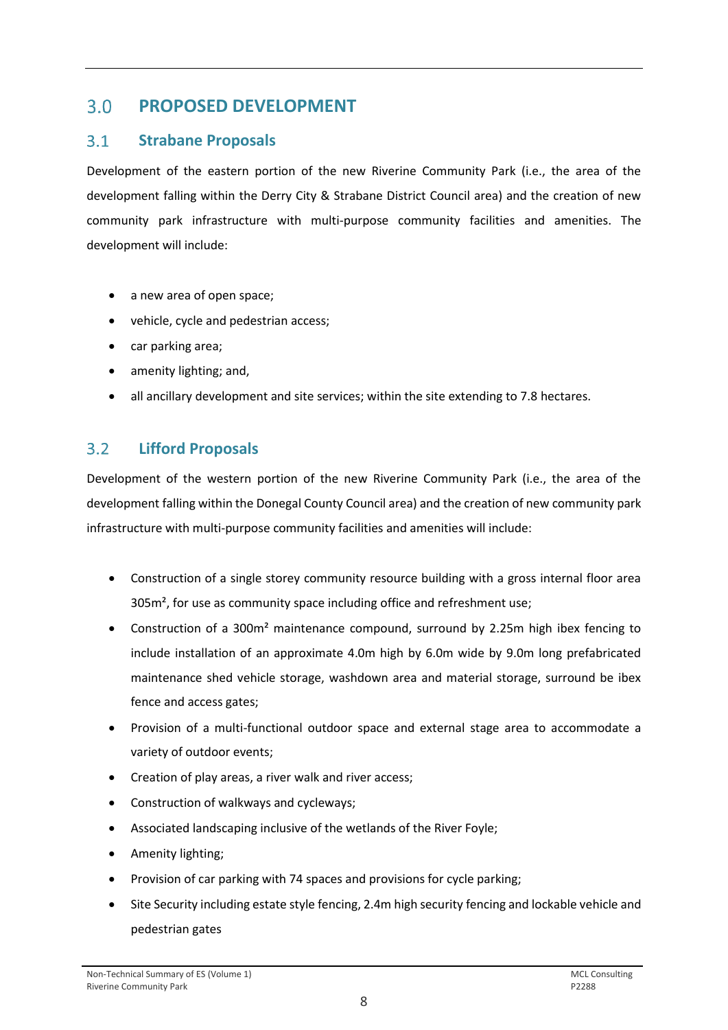#### <span id="page-9-0"></span> $3.0$ **PROPOSED DEVELOPMENT**

#### <span id="page-9-1"></span> $3.1$ **Strabane Proposals**

Development of the eastern portion of the new Riverine Community Park (i.e., the area of the development falling within the Derry City & Strabane District Council area) and the creation of new community park infrastructure with multi-purpose community facilities and amenities. The development will include:

- a new area of open space;
- vehicle, cycle and pedestrian access;
- car parking area;
- amenity lighting; and,
- all ancillary development and site services; within the site extending to 7.8 hectares.

#### <span id="page-9-2"></span> $3.2$ **Lifford Proposals**

Development of the western portion of the new Riverine Community Park (i.e., the area of the development falling within the Donegal County Council area) and the creation of new community park infrastructure with multi-purpose community facilities and amenities will include:

- Construction of a single storey community resource building with a gross internal floor area 305m², for use as community space including office and refreshment use;
- Construction of a 300m<sup>2</sup> maintenance compound, surround by 2.25m high ibex fencing to include installation of an approximate 4.0m high by 6.0m wide by 9.0m long prefabricated maintenance shed vehicle storage, washdown area and material storage, surround be ibex fence and access gates;
- Provision of a multi-functional outdoor space and external stage area to accommodate a variety of outdoor events;
- Creation of play areas, a river walk and river access;
- Construction of walkways and cycleways;
- Associated landscaping inclusive of the wetlands of the River Foyle;
- Amenity lighting;
- Provision of car parking with 74 spaces and provisions for cycle parking;
- Site Security including estate style fencing, 2.4m high security fencing and lockable vehicle and pedestrian gates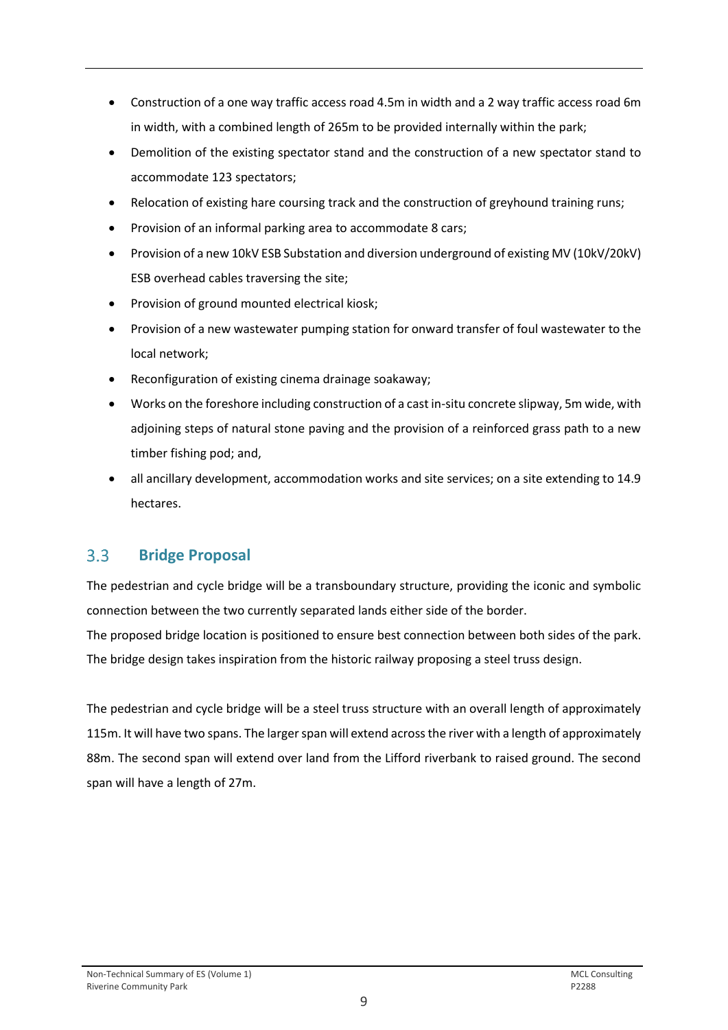- Construction of a one way traffic access road 4.5m in width and a 2 way traffic access road 6m in width, with a combined length of 265m to be provided internally within the park;
- Demolition of the existing spectator stand and the construction of a new spectator stand to accommodate 123 spectators;
- Relocation of existing hare coursing track and the construction of greyhound training runs;
- Provision of an informal parking area to accommodate 8 cars;
- Provision of a new 10kV ESB Substation and diversion underground of existing MV (10kV/20kV) ESB overhead cables traversing the site;
- Provision of ground mounted electrical kiosk;
- Provision of a new wastewater pumping station for onward transfer of foul wastewater to the local network;
- Reconfiguration of existing cinema drainage soakaway;
- Works on the foreshore including construction of a cast in-situ concrete slipway, 5m wide, with adjoining steps of natural stone paving and the provision of a reinforced grass path to a new timber fishing pod; and,
- all ancillary development, accommodation works and site services; on a site extending to 14.9 hectares.

#### <span id="page-10-0"></span> $3.3$ **Bridge Proposal**

The pedestrian and cycle bridge will be a transboundary structure, providing the iconic and symbolic connection between the two currently separated lands either side of the border.

The proposed bridge location is positioned to ensure best connection between both sides of the park. The bridge design takes inspiration from the historic railway proposing a steel truss design.

The pedestrian and cycle bridge will be a steel truss structure with an overall length of approximately 115m. It will have two spans. The larger span will extend across the river with a length of approximately 88m. The second span will extend over land from the Lifford riverbank to raised ground. The second span will have a length of 27m.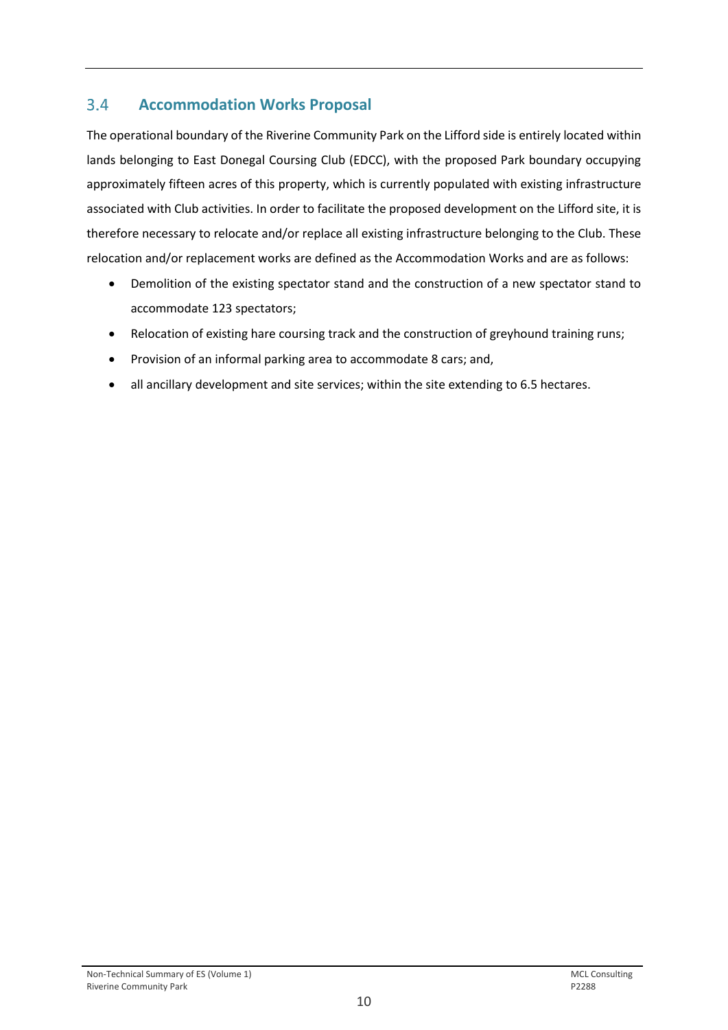#### <span id="page-11-0"></span> $3.4$ **Accommodation Works Proposal**

The operational boundary of the Riverine Community Park on the Lifford side is entirely located within lands belonging to East Donegal Coursing Club (EDCC), with the proposed Park boundary occupying approximately fifteen acres of this property, which is currently populated with existing infrastructure associated with Club activities. In order to facilitate the proposed development on the Lifford site, it is therefore necessary to relocate and/or replace all existing infrastructure belonging to the Club. These relocation and/or replacement works are defined as the Accommodation Works and are as follows:

- Demolition of the existing spectator stand and the construction of a new spectator stand to accommodate 123 spectators;
- Relocation of existing hare coursing track and the construction of greyhound training runs;
- Provision of an informal parking area to accommodate 8 cars; and,
- all ancillary development and site services; within the site extending to 6.5 hectares.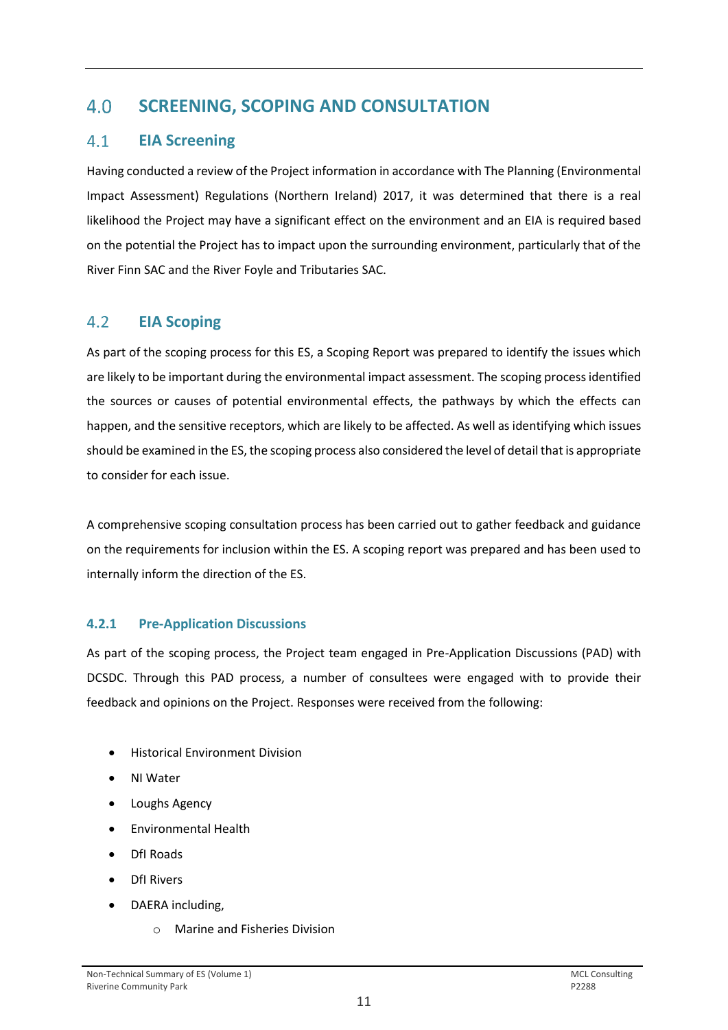#### <span id="page-12-0"></span> $4.0$ **SCREENING, SCOPING AND CONSULTATION**

#### <span id="page-12-1"></span> $4.1$ **EIA Screening**

Having conducted a review of the Project information in accordance with The Planning (Environmental Impact Assessment) Regulations (Northern Ireland) 2017, it was determined that there is a real likelihood the Project may have a significant effect on the environment and an EIA is required based on the potential the Project has to impact upon the surrounding environment, particularly that of the River Finn SAC and the River Foyle and Tributaries SAC.

#### <span id="page-12-2"></span> $4.2$ **EIA Scoping**

As part of the scoping process for this ES, a Scoping Report was prepared to identify the issues which are likely to be important during the environmental impact assessment. The scoping process identified the sources or causes of potential environmental effects, the pathways by which the effects can happen, and the sensitive receptors, which are likely to be affected. As well as identifying which issues should be examined in the ES, the scoping process also considered the level of detail that is appropriate to consider for each issue.

A comprehensive scoping consultation process has been carried out to gather feedback and guidance on the requirements for inclusion within the ES. A scoping report was prepared and has been used to internally inform the direction of the ES.

## **4.2.1 Pre-Application Discussions**

As part of the scoping process, the Project team engaged in Pre-Application Discussions (PAD) with DCSDC. Through this PAD process, a number of consultees were engaged with to provide their feedback and opinions on the Project. Responses were received from the following:

- Historical Environment Division
- NI Water
- Loughs Agency
- Environmental Health
- DfI Roads
- DfI Rivers
- DAERA including,
	- o Marine and Fisheries Division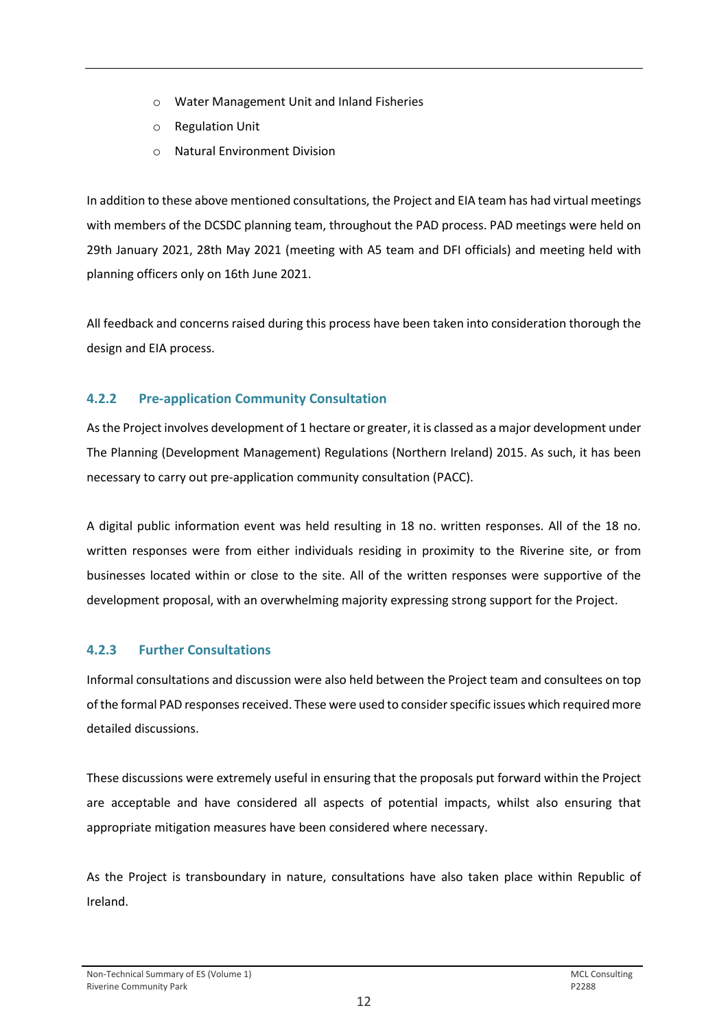- o Water Management Unit and Inland Fisheries
- o Regulation Unit
- o Natural Environment Division

In addition to these above mentioned consultations, the Project and EIA team has had virtual meetings with members of the DCSDC planning team, throughout the PAD process. PAD meetings were held on 29th January 2021, 28th May 2021 (meeting with A5 team and DFI officials) and meeting held with planning officers only on 16th June 2021.

All feedback and concerns raised during this process have been taken into consideration thorough the design and EIA process.

## **4.2.2 Pre-application Community Consultation**

As the Project involves development of 1 hectare or greater, it is classed as a major development under The Planning (Development Management) Regulations (Northern Ireland) 2015. As such, it has been necessary to carry out pre-application community consultation (PACC).

A digital public information event was held resulting in 18 no. written responses. All of the 18 no. written responses were from either individuals residing in proximity to the Riverine site, or from businesses located within or close to the site. All of the written responses were supportive of the development proposal, with an overwhelming majority expressing strong support for the Project.

## **4.2.3 Further Consultations**

Informal consultations and discussion were also held between the Project team and consultees on top of the formal PAD responses received. These were used to consider specific issues which required more detailed discussions.

These discussions were extremely useful in ensuring that the proposals put forward within the Project are acceptable and have considered all aspects of potential impacts, whilst also ensuring that appropriate mitigation measures have been considered where necessary.

As the Project is transboundary in nature, consultations have also taken place within Republic of Ireland.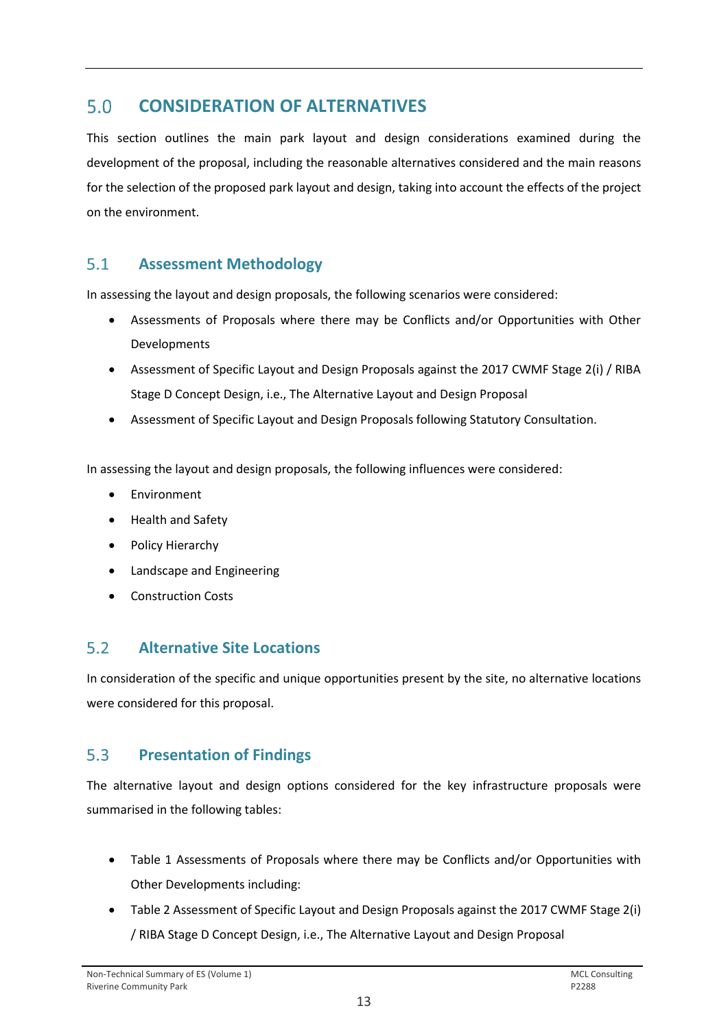#### <span id="page-14-0"></span> $5.0$ **CONSIDERATION OF ALTERNATIVES**

This section outlines the main park layout and design considerations examined during the development of the proposal, including the reasonable alternatives considered and the main reasons for the selection of the proposed park layout and design, taking into account the effects of the project on the environment.

#### <span id="page-14-1"></span> $5.1$ **Assessment Methodology**

In assessing the layout and design proposals, the following scenarios were considered:

- Assessments of Proposals where there may be Conflicts and/or Opportunities with Other Developments
- Assessment of Specific Layout and Design Proposals against the 2017 CWMF Stage 2(i) / RIBA Stage D Concept Design, i.e., The Alternative Layout and Design Proposal
- Assessment of Specific Layout and Design Proposals following Statutory Consultation.

In assessing the layout and design proposals, the following influences were considered:

- **Environment**
- Health and Safety
- Policy Hierarchy
- Landscape and Engineering
- Construction Costs

#### <span id="page-14-2"></span> $5.2$ **Alternative Site Locations**

In consideration of the specific and unique opportunities present by the site, no alternative locations were considered for this proposal.

#### <span id="page-14-3"></span> $5.3$ **Presentation of Findings**

The alternative layout and design options considered for the key infrastructure proposals were summarised in the following tables:

- Table 1 Assessments of Proposals where there may be Conflicts and/or Opportunities with Other Developments including:
- Table 2 Assessment of Specific Layout and Design Proposals against the 2017 CWMF Stage 2(i) / RIBA Stage D Concept Design, i.e., The Alternative Layout and Design Proposal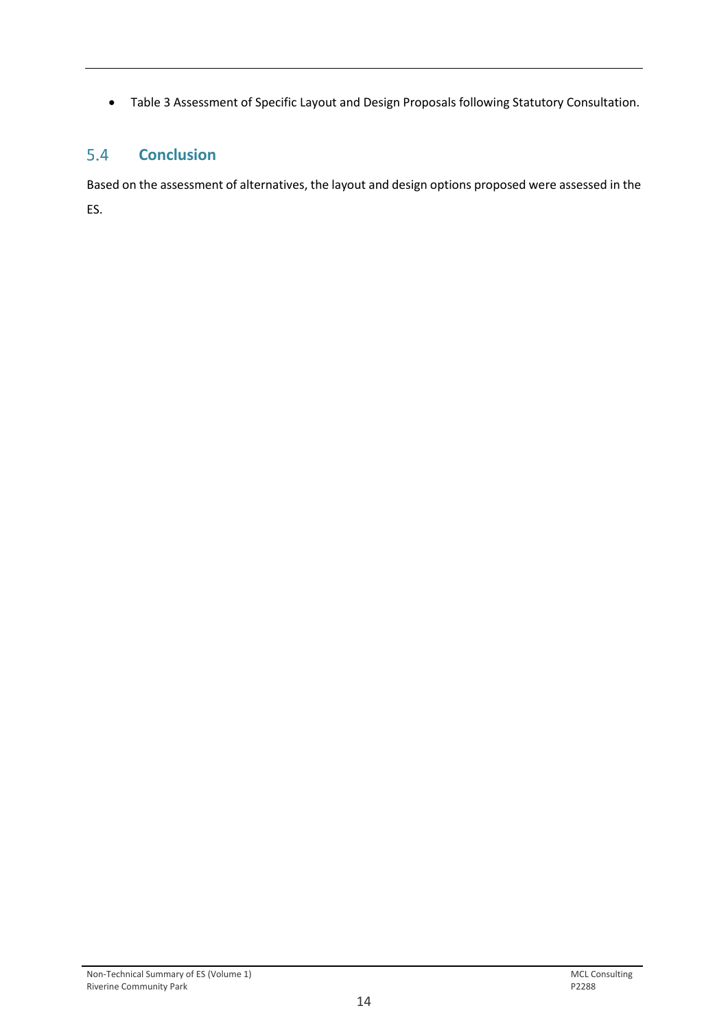• Table 3 Assessment of Specific Layout and Design Proposals following Statutory Consultation.

#### <span id="page-15-0"></span> $5.4$ **Conclusion**

Based on the assessment of alternatives, the layout and design options proposed were assessed in the ES.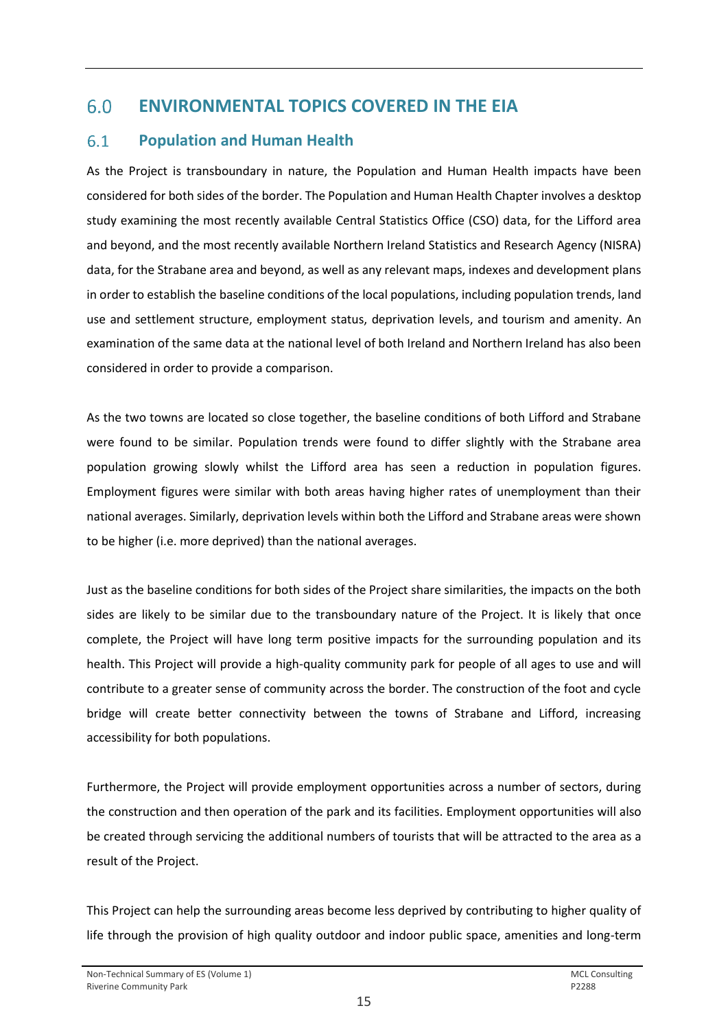#### <span id="page-16-0"></span> $6.0$ **ENVIRONMENTAL TOPICS COVERED IN THE EIA**

#### <span id="page-16-1"></span> $6.1$ **Population and Human Health**

As the Project is transboundary in nature, the Population and Human Health impacts have been considered for both sides of the border. The Population and Human Health Chapter involves a desktop study examining the most recently available Central Statistics Office (CSO) data, for the Lifford area and beyond, and the most recently available Northern Ireland Statistics and Research Agency (NISRA) data, for the Strabane area and beyond, as well as any relevant maps, indexes and development plans in order to establish the baseline conditions of the local populations, including population trends, land use and settlement structure, employment status, deprivation levels, and tourism and amenity. An examination of the same data at the national level of both Ireland and Northern Ireland has also been considered in order to provide a comparison.

As the two towns are located so close together, the baseline conditions of both Lifford and Strabane were found to be similar. Population trends were found to differ slightly with the Strabane area population growing slowly whilst the Lifford area has seen a reduction in population figures. Employment figures were similar with both areas having higher rates of unemployment than their national averages. Similarly, deprivation levels within both the Lifford and Strabane areas were shown to be higher (i.e. more deprived) than the national averages.

Just as the baseline conditions for both sides of the Project share similarities, the impacts on the both sides are likely to be similar due to the transboundary nature of the Project. It is likely that once complete, the Project will have long term positive impacts for the surrounding population and its health. This Project will provide a high-quality community park for people of all ages to use and will contribute to a greater sense of community across the border. The construction of the foot and cycle bridge will create better connectivity between the towns of Strabane and Lifford, increasing accessibility for both populations.

Furthermore, the Project will provide employment opportunities across a number of sectors, during the construction and then operation of the park and its facilities. Employment opportunities will also be created through servicing the additional numbers of tourists that will be attracted to the area as a result of the Project.

This Project can help the surrounding areas become less deprived by contributing to higher quality of life through the provision of high quality outdoor and indoor public space, amenities and long-term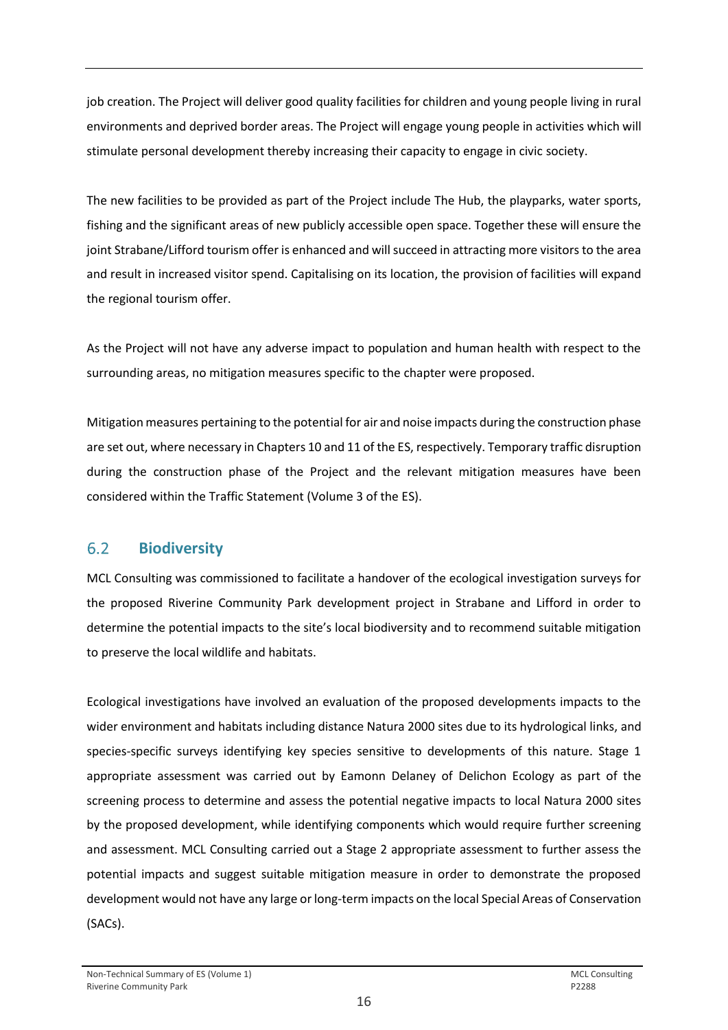job creation. The Project will deliver good quality facilities for children and young people living in rural environments and deprived border areas. The Project will engage young people in activities which will stimulate personal development thereby increasing their capacity to engage in civic society.

The new facilities to be provided as part of the Project include The Hub, the playparks, water sports, fishing and the significant areas of new publicly accessible open space. Together these will ensure the joint Strabane/Lifford tourism offer is enhanced and will succeed in attracting more visitors to the area and result in increased visitor spend. Capitalising on its location, the provision of facilities will expand the regional tourism offer.

As the Project will not have any adverse impact to population and human health with respect to the surrounding areas, no mitigation measures specific to the chapter were proposed.

Mitigation measures pertaining to the potential for air and noise impacts during the construction phase are set out, where necessary in Chapters 10 and 11 of the ES, respectively. Temporary traffic disruption during the construction phase of the Project and the relevant mitigation measures have been considered within the Traffic Statement (Volume 3 of the ES).

#### <span id="page-17-0"></span> $6.2$ **Biodiversity**

MCL Consulting was commissioned to facilitate a handover of the ecological investigation surveys for the proposed Riverine Community Park development project in Strabane and Lifford in order to determine the potential impacts to the site's local biodiversity and to recommend suitable mitigation to preserve the local wildlife and habitats.

Ecological investigations have involved an evaluation of the proposed developments impacts to the wider environment and habitats including distance Natura 2000 sites due to its hydrological links, and species-specific surveys identifying key species sensitive to developments of this nature. Stage 1 appropriate assessment was carried out by Eamonn Delaney of Delichon Ecology as part of the screening process to determine and assess the potential negative impacts to local Natura 2000 sites by the proposed development, while identifying components which would require further screening and assessment. MCL Consulting carried out a Stage 2 appropriate assessment to further assess the potential impacts and suggest suitable mitigation measure in order to demonstrate the proposed development would not have any large or long-term impacts on the local Special Areas of Conservation (SACs).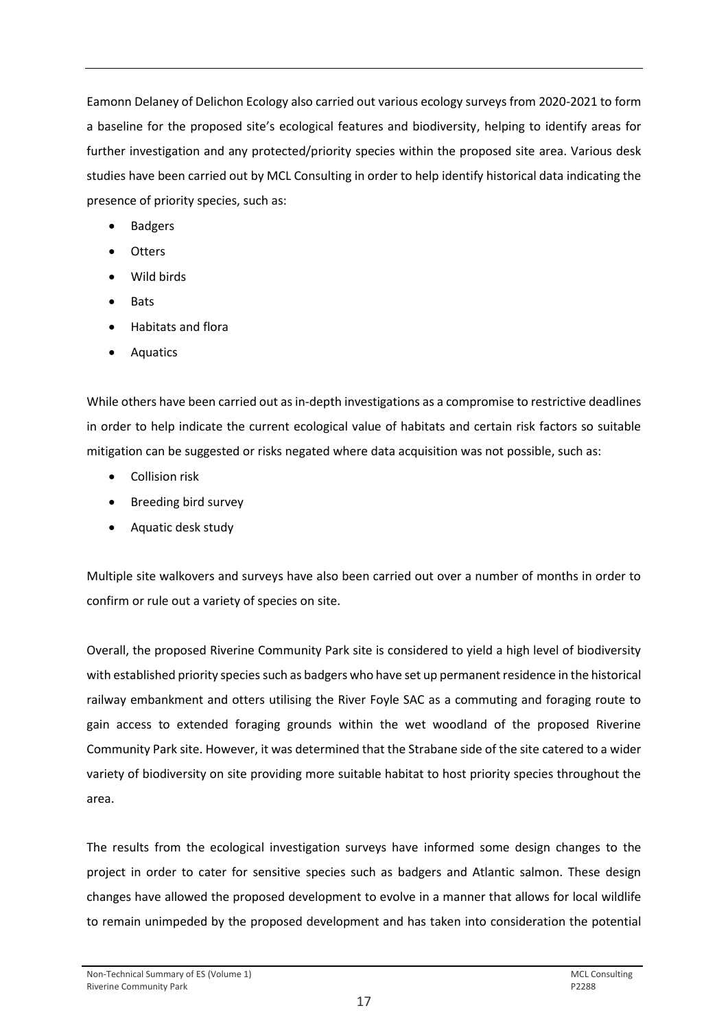Eamonn Delaney of Delichon Ecology also carried out various ecology surveys from 2020-2021 to form a baseline for the proposed site's ecological features and biodiversity, helping to identify areas for further investigation and any protected/priority species within the proposed site area. Various desk studies have been carried out by MCL Consulting in order to help identify historical data indicating the presence of priority species, such as:

- Badgers
- Otters
- Wild birds
- Bats
- Habitats and flora
- Aquatics

While others have been carried out as in-depth investigations as a compromise to restrictive deadlines in order to help indicate the current ecological value of habitats and certain risk factors so suitable mitigation can be suggested or risks negated where data acquisition was not possible, such as:

- Collision risk
- Breeding bird survey
- Aquatic desk study

Multiple site walkovers and surveys have also been carried out over a number of months in order to confirm or rule out a variety of species on site.

Overall, the proposed Riverine Community Park site is considered to yield a high level of biodiversity with established priority species such as badgers who have set up permanent residence in the historical railway embankment and otters utilising the River Foyle SAC as a commuting and foraging route to gain access to extended foraging grounds within the wet woodland of the proposed Riverine Community Park site. However, it was determined that the Strabane side of the site catered to a wider variety of biodiversity on site providing more suitable habitat to host priority species throughout the area.

The results from the ecological investigation surveys have informed some design changes to the project in order to cater for sensitive species such as badgers and Atlantic salmon. These design changes have allowed the proposed development to evolve in a manner that allows for local wildlife to remain unimpeded by the proposed development and has taken into consideration the potential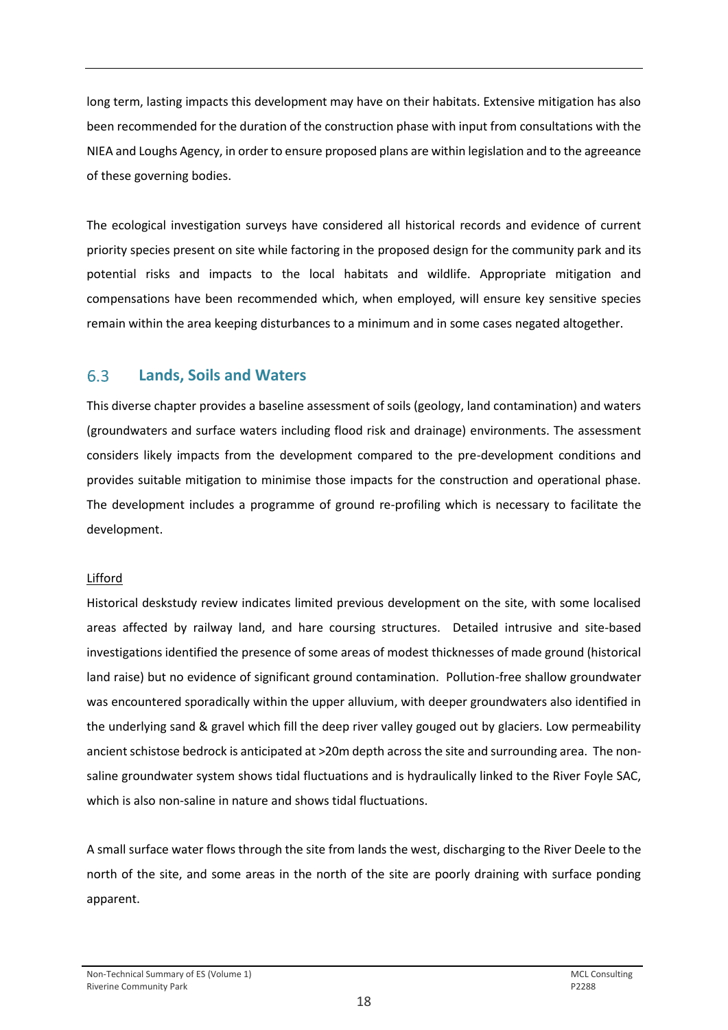long term, lasting impacts this development may have on their habitats. Extensive mitigation has also been recommended for the duration of the construction phase with input from consultations with the NIEA and Loughs Agency, in order to ensure proposed plans are within legislation and to the agreeance of these governing bodies.

The ecological investigation surveys have considered all historical records and evidence of current priority species present on site while factoring in the proposed design for the community park and its potential risks and impacts to the local habitats and wildlife. Appropriate mitigation and compensations have been recommended which, when employed, will ensure key sensitive species remain within the area keeping disturbances to a minimum and in some cases negated altogether.

#### <span id="page-19-0"></span>6.3 **Lands, Soils and Waters**

This diverse chapter provides a baseline assessment of soils (geology, land contamination) and waters (groundwaters and surface waters including flood risk and drainage) environments. The assessment considers likely impacts from the development compared to the pre-development conditions and provides suitable mitigation to minimise those impacts for the construction and operational phase. The development includes a programme of ground re-profiling which is necessary to facilitate the development.

### Lifford

Historical deskstudy review indicates limited previous development on the site, with some localised areas affected by railway land, and hare coursing structures. Detailed intrusive and site-based investigations identified the presence of some areas of modest thicknesses of made ground (historical land raise) but no evidence of significant ground contamination. Pollution-free shallow groundwater was encountered sporadically within the upper alluvium, with deeper groundwaters also identified in the underlying sand & gravel which fill the deep river valley gouged out by glaciers. Low permeability ancient schistose bedrock is anticipated at >20m depth across the site and surrounding area. The nonsaline groundwater system shows tidal fluctuations and is hydraulically linked to the River Foyle SAC, which is also non-saline in nature and shows tidal fluctuations.

A small surface water flows through the site from lands the west, discharging to the River Deele to the north of the site, and some areas in the north of the site are poorly draining with surface ponding apparent.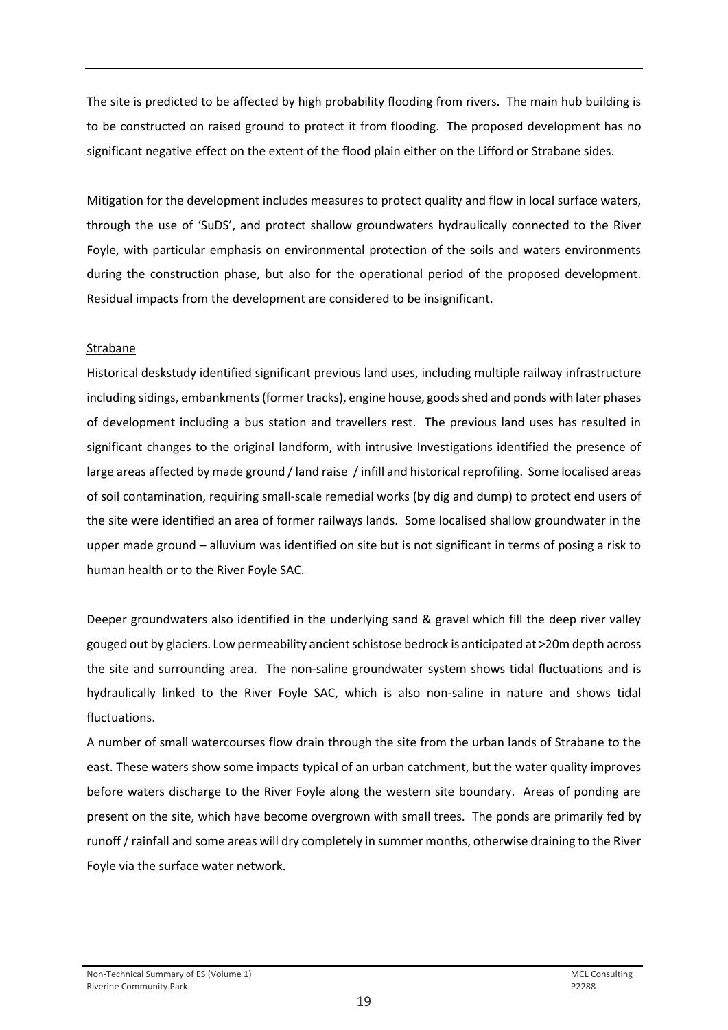The site is predicted to be affected by high probability flooding from rivers. The main hub building is to be constructed on raised ground to protect it from flooding. The proposed development has no significant negative effect on the extent of the flood plain either on the Lifford or Strabane sides.

Mitigation for the development includes measures to protect quality and flow in local surface waters, through the use of 'SuDS', and protect shallow groundwaters hydraulically connected to the River Foyle, with particular emphasis on environmental protection of the soils and waters environments during the construction phase, but also for the operational period of the proposed development. Residual impacts from the development are considered to be insignificant.

### Strabane

Historical deskstudy identified significant previous land uses, including multiple railway infrastructure including sidings, embankments (former tracks), engine house, goods shed and ponds with later phases of development including a bus station and travellers rest. The previous land uses has resulted in significant changes to the original landform, with intrusive Investigations identified the presence of large areas affected by made ground / land raise / infill and historical reprofiling. Some localised areas of soil contamination, requiring small-scale remedial works (by dig and dump) to protect end users of the site were identified an area of former railways lands. Some localised shallow groundwater in the upper made ground – alluvium was identified on site but is not significant in terms of posing a risk to human health or to the River Foyle SAC.

Deeper groundwaters also identified in the underlying sand & gravel which fill the deep river valley gouged out by glaciers. Low permeability ancient schistose bedrock is anticipated at >20m depth across the site and surrounding area. The non-saline groundwater system shows tidal fluctuations and is hydraulically linked to the River Foyle SAC, which is also non-saline in nature and shows tidal fluctuations.

A number of small watercourses flow drain through the site from the urban lands of Strabane to the east. These waters show some impacts typical of an urban catchment, but the water quality improves before waters discharge to the River Foyle along the western site boundary. Areas of ponding are present on the site, which have become overgrown with small trees. The ponds are primarily fed by runoff / rainfall and some areas will dry completely in summer months, otherwise draining to the River Foyle via the surface water network.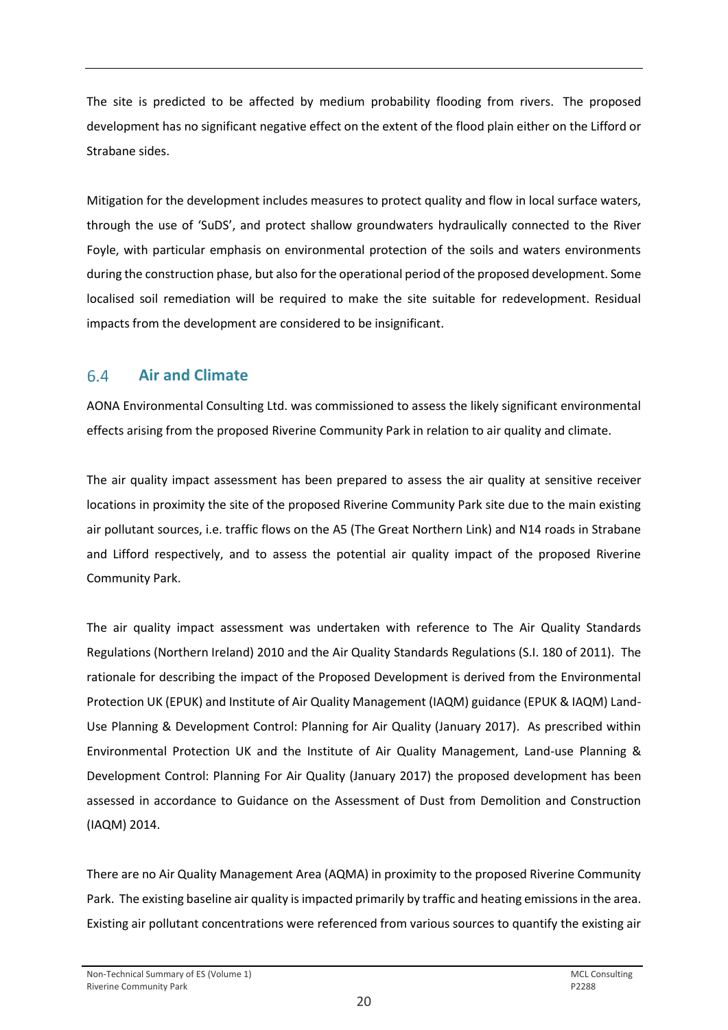The site is predicted to be affected by medium probability flooding from rivers. The proposed development has no significant negative effect on the extent of the flood plain either on the Lifford or Strabane sides.

Mitigation for the development includes measures to protect quality and flow in local surface waters, through the use of 'SuDS', and protect shallow groundwaters hydraulically connected to the River Foyle, with particular emphasis on environmental protection of the soils and waters environments during the construction phase, but also for the operational period of the proposed development. Some localised soil remediation will be required to make the site suitable for redevelopment. Residual impacts from the development are considered to be insignificant.

#### <span id="page-21-0"></span> $6.4$ **Air and Climate**

AONA Environmental Consulting Ltd. was commissioned to assess the likely significant environmental effects arising from the proposed Riverine Community Park in relation to air quality and climate.

The air quality impact assessment has been prepared to assess the air quality at sensitive receiver locations in proximity the site of the proposed Riverine Community Park site due to the main existing air pollutant sources, i.e. traffic flows on the A5 (The Great Northern Link) and N14 roads in Strabane and Lifford respectively, and to assess the potential air quality impact of the proposed Riverine Community Park.

The air quality impact assessment was undertaken with reference to The Air Quality Standards Regulations (Northern Ireland) 2010 and the Air Quality Standards Regulations (S.I. 180 of 2011). The rationale for describing the impact of the Proposed Development is derived from the Environmental Protection UK (EPUK) and Institute of Air Quality Management (IAQM) guidance (EPUK & IAQM) Land-Use Planning & Development Control: Planning for Air Quality (January 2017). As prescribed within Environmental Protection UK and the Institute of Air Quality Management, Land-use Planning & Development Control: Planning For Air Quality (January 2017) the proposed development has been assessed in accordance to Guidance on the Assessment of Dust from Demolition and Construction (IAQM) 2014.

There are no Air Quality Management Area (AQMA) in proximity to the proposed Riverine Community Park. The existing baseline air quality is impacted primarily by traffic and heating emissions in the area. Existing air pollutant concentrations were referenced from various sources to quantify the existing air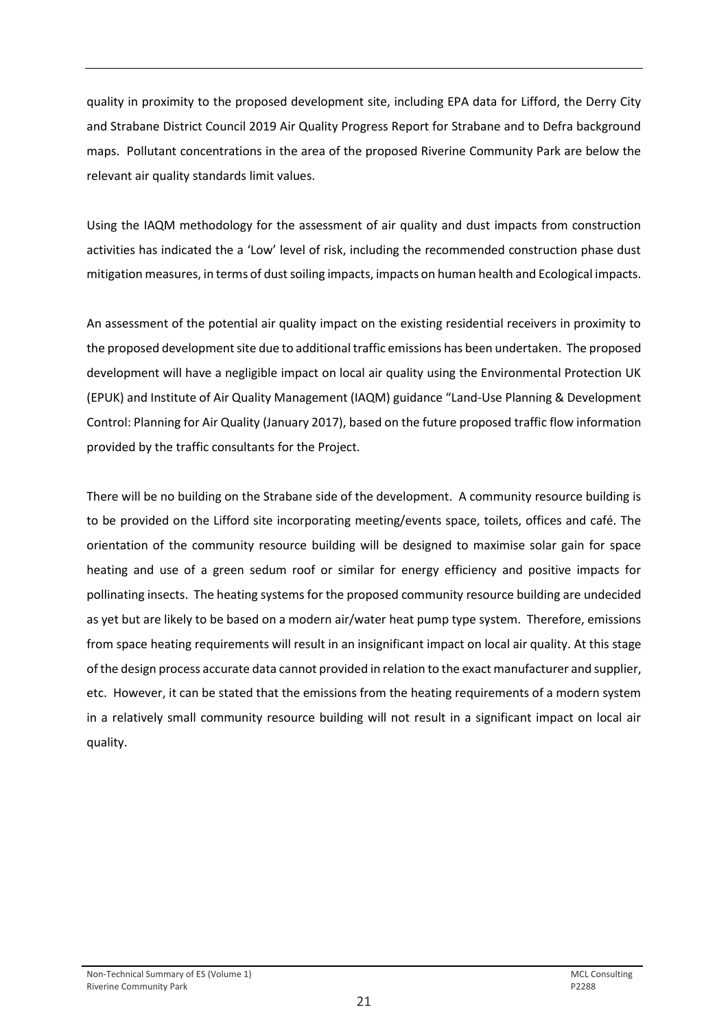quality in proximity to the proposed development site, including EPA data for Lifford, the Derry City and Strabane District Council 2019 Air Quality Progress Report for Strabane and to Defra background maps. Pollutant concentrations in the area of the proposed Riverine Community Park are below the relevant air quality standards limit values.

Using the IAQM methodology for the assessment of air quality and dust impacts from construction activities has indicated the a 'Low' level of risk, including the recommended construction phase dust mitigation measures, in terms of dust soiling impacts, impacts on human health and Ecological impacts.

An assessment of the potential air quality impact on the existing residential receivers in proximity to the proposed development site due to additional traffic emissions has been undertaken. The proposed development will have a negligible impact on local air quality using the Environmental Protection UK (EPUK) and Institute of Air Quality Management (IAQM) guidance "Land-Use Planning & Development Control: Planning for Air Quality (January 2017), based on the future proposed traffic flow information provided by the traffic consultants for the Project.

There will be no building on the Strabane side of the development. A community resource building is to be provided on the Lifford site incorporating meeting/events space, toilets, offices and café. The orientation of the community resource building will be designed to maximise solar gain for space heating and use of a green sedum roof or similar for energy efficiency and positive impacts for pollinating insects. The heating systems for the proposed community resource building are undecided as yet but are likely to be based on a modern air/water heat pump type system. Therefore, emissions from space heating requirements will result in an insignificant impact on local air quality. At this stage of the design process accurate data cannot provided in relation to the exact manufacturer and supplier, etc. However, it can be stated that the emissions from the heating requirements of a modern system in a relatively small community resource building will not result in a significant impact on local air quality.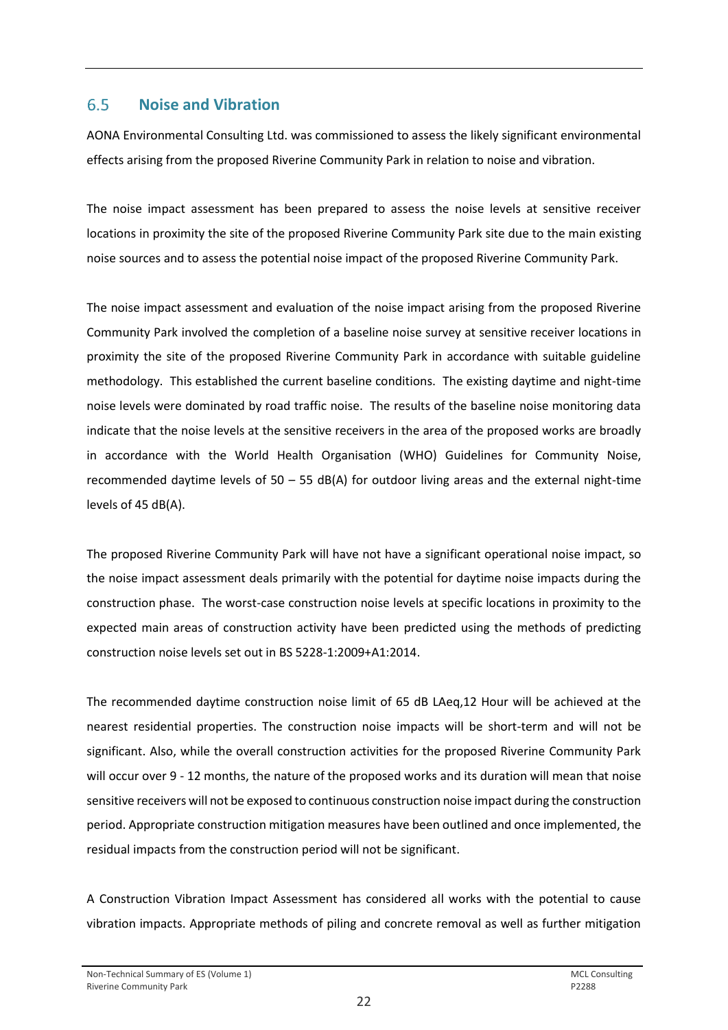#### <span id="page-23-0"></span>6.5 **Noise and Vibration**

AONA Environmental Consulting Ltd. was commissioned to assess the likely significant environmental effects arising from the proposed Riverine Community Park in relation to noise and vibration.

The noise impact assessment has been prepared to assess the noise levels at sensitive receiver locations in proximity the site of the proposed Riverine Community Park site due to the main existing noise sources and to assess the potential noise impact of the proposed Riverine Community Park.

The noise impact assessment and evaluation of the noise impact arising from the proposed Riverine Community Park involved the completion of a baseline noise survey at sensitive receiver locations in proximity the site of the proposed Riverine Community Park in accordance with suitable guideline methodology. This established the current baseline conditions. The existing daytime and night-time noise levels were dominated by road traffic noise. The results of the baseline noise monitoring data indicate that the noise levels at the sensitive receivers in the area of the proposed works are broadly in accordance with the World Health Organisation (WHO) Guidelines for Community Noise, recommended daytime levels of  $50 - 55$  dB(A) for outdoor living areas and the external night-time levels of 45 dB(A).

The proposed Riverine Community Park will have not have a significant operational noise impact, so the noise impact assessment deals primarily with the potential for daytime noise impacts during the construction phase. The worst-case construction noise levels at specific locations in proximity to the expected main areas of construction activity have been predicted using the methods of predicting construction noise levels set out in BS 5228-1:2009+A1:2014.

The recommended daytime construction noise limit of 65 dB LAeq,12 Hour will be achieved at the nearest residential properties. The construction noise impacts will be short-term and will not be significant. Also, while the overall construction activities for the proposed Riverine Community Park will occur over 9 - 12 months, the nature of the proposed works and its duration will mean that noise sensitive receivers will not be exposed to continuous construction noise impact during the construction period. Appropriate construction mitigation measures have been outlined and once implemented, the residual impacts from the construction period will not be significant.

A Construction Vibration Impact Assessment has considered all works with the potential to cause vibration impacts. Appropriate methods of piling and concrete removal as well as further mitigation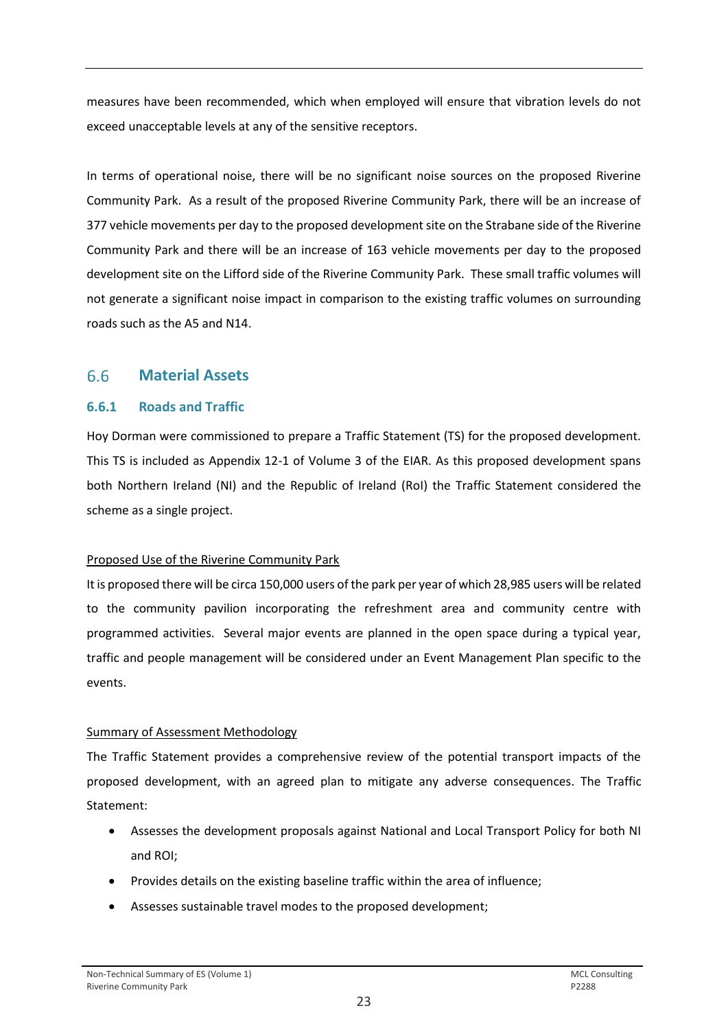measures have been recommended, which when employed will ensure that vibration levels do not exceed unacceptable levels at any of the sensitive receptors.

In terms of operational noise, there will be no significant noise sources on the proposed Riverine Community Park. As a result of the proposed Riverine Community Park, there will be an increase of 377 vehicle movements per day to the proposed development site on the Strabane side of the Riverine Community Park and there will be an increase of 163 vehicle movements per day to the proposed development site on the Lifford side of the Riverine Community Park. These small traffic volumes will not generate a significant noise impact in comparison to the existing traffic volumes on surrounding roads such as the A5 and N14.

#### <span id="page-24-0"></span>6.6 **Material Assets**

## **6.6.1 Roads and Traffic**

Hoy Dorman were commissioned to prepare a Traffic Statement (TS) for the proposed development. This TS is included as Appendix 12-1 of Volume 3 of the EIAR. As this proposed development spans both Northern Ireland (NI) and the Republic of Ireland (RoI) the Traffic Statement considered the scheme as a single project.

## Proposed Use of the Riverine Community Park

It is proposed there will be circa 150,000 users of the park per year of which 28,985 users will be related to the community pavilion incorporating the refreshment area and community centre with programmed activities. Several major events are planned in the open space during a typical year, traffic and people management will be considered under an Event Management Plan specific to the events.

## Summary of Assessment Methodology

The Traffic Statement provides a comprehensive review of the potential transport impacts of the proposed development, with an agreed plan to mitigate any adverse consequences. The Traffic Statement:

- Assesses the development proposals against National and Local Transport Policy for both NI and ROI;
- Provides details on the existing baseline traffic within the area of influence;
- Assesses sustainable travel modes to the proposed development;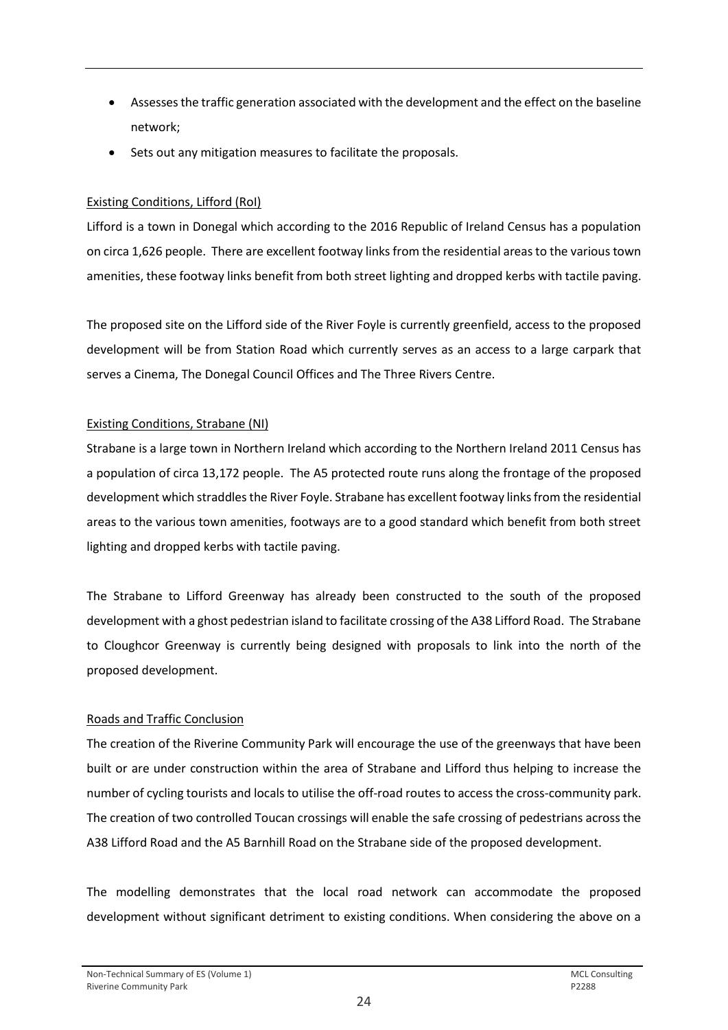- Assesses the traffic generation associated with the development and the effect on the baseline network;
- Sets out any mitigation measures to facilitate the proposals.

## Existing Conditions, Lifford (RoI)

Lifford is a town in Donegal which according to the 2016 Republic of Ireland Census has a population on circa 1,626 people. There are excellent footway links from the residential areas to the various town amenities, these footway links benefit from both street lighting and dropped kerbs with tactile paving.

The proposed site on the Lifford side of the River Foyle is currently greenfield, access to the proposed development will be from Station Road which currently serves as an access to a large carpark that serves a Cinema, The Donegal Council Offices and The Three Rivers Centre.

## Existing Conditions, Strabane (NI)

Strabane is a large town in Northern Ireland which according to the Northern Ireland 2011 Census has a population of circa 13,172 people. The A5 protected route runs along the frontage of the proposed development which straddles the River Foyle. Strabane has excellent footway links from the residential areas to the various town amenities, footways are to a good standard which benefit from both street lighting and dropped kerbs with tactile paving.

The Strabane to Lifford Greenway has already been constructed to the south of the proposed development with a ghost pedestrian island to facilitate crossing of the A38 Lifford Road. The Strabane to Cloughcor Greenway is currently being designed with proposals to link into the north of the proposed development.

## Roads and Traffic Conclusion

The creation of the Riverine Community Park will encourage the use of the greenways that have been built or are under construction within the area of Strabane and Lifford thus helping to increase the number of cycling tourists and locals to utilise the off-road routes to access the cross-community park. The creation of two controlled Toucan crossings will enable the safe crossing of pedestrians across the A38 Lifford Road and the A5 Barnhill Road on the Strabane side of the proposed development.

The modelling demonstrates that the local road network can accommodate the proposed development without significant detriment to existing conditions. When considering the above on a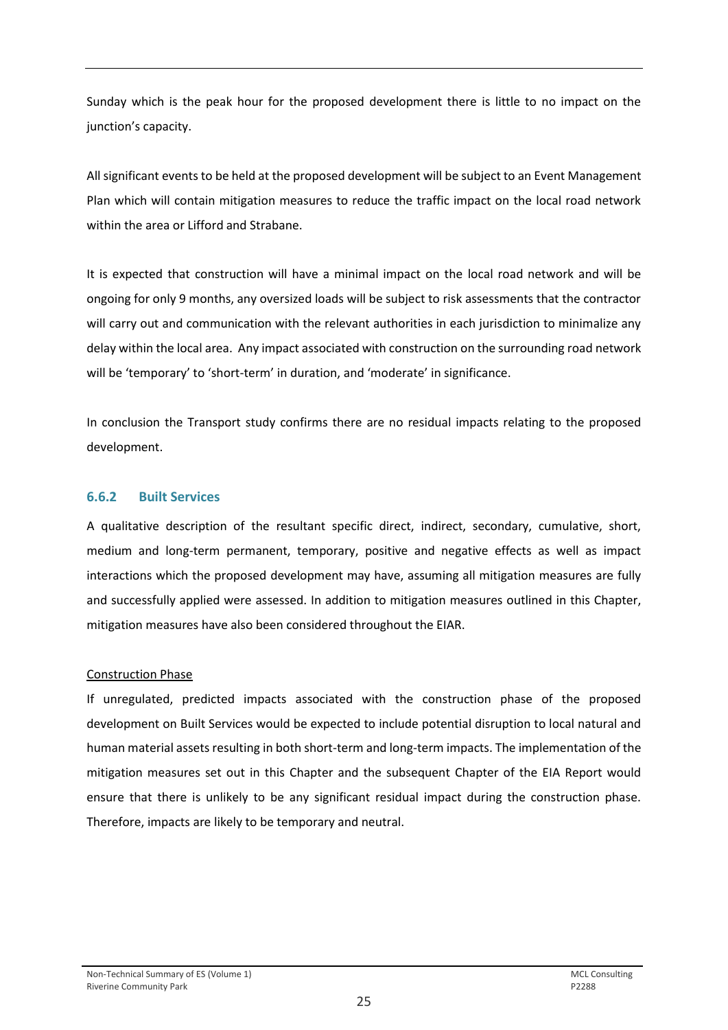Sunday which is the peak hour for the proposed development there is little to no impact on the junction's capacity.

All significant events to be held at the proposed development will be subject to an Event Management Plan which will contain mitigation measures to reduce the traffic impact on the local road network within the area or Lifford and Strabane.

It is expected that construction will have a minimal impact on the local road network and will be ongoing for only 9 months, any oversized loads will be subject to risk assessments that the contractor will carry out and communication with the relevant authorities in each jurisdiction to minimalize any delay within the local area. Any impact associated with construction on the surrounding road network will be 'temporary' to 'short-term' in duration, and 'moderate' in significance.

In conclusion the Transport study confirms there are no residual impacts relating to the proposed development.

## **6.6.2 Built Services**

A qualitative description of the resultant specific direct, indirect, secondary, cumulative, short, medium and long-term permanent, temporary, positive and negative effects as well as impact interactions which the proposed development may have, assuming all mitigation measures are fully and successfully applied were assessed. In addition to mitigation measures outlined in this Chapter, mitigation measures have also been considered throughout the EIAR.

### Construction Phase

If unregulated, predicted impacts associated with the construction phase of the proposed development on Built Services would be expected to include potential disruption to local natural and human material assets resulting in both short-term and long-term impacts. The implementation of the mitigation measures set out in this Chapter and the subsequent Chapter of the EIA Report would ensure that there is unlikely to be any significant residual impact during the construction phase. Therefore, impacts are likely to be temporary and neutral.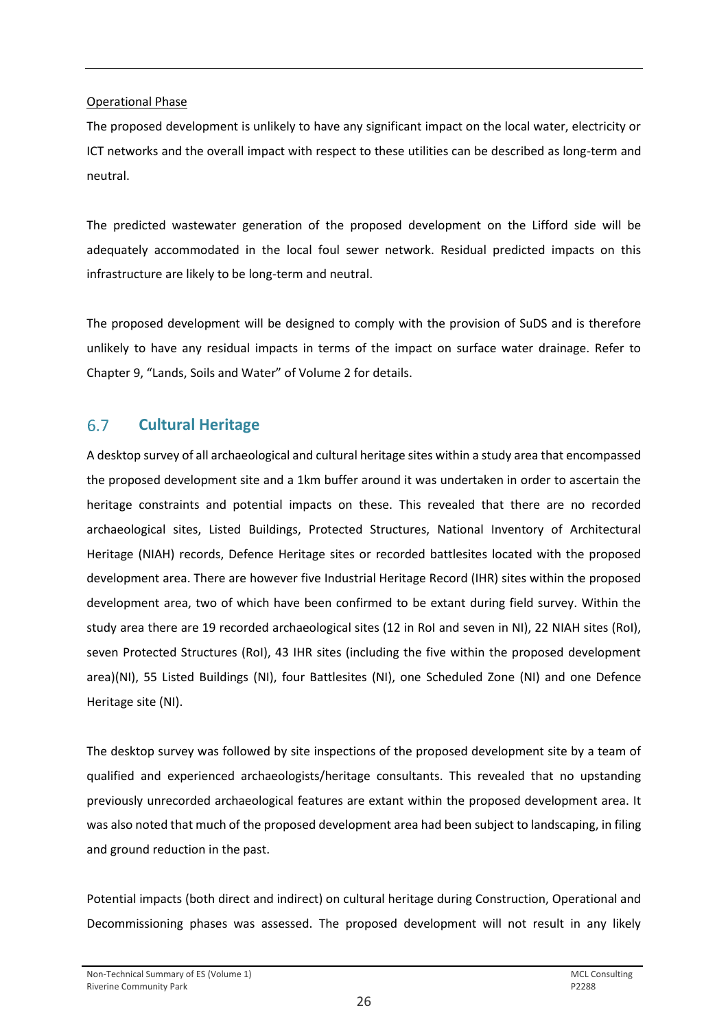### Operational Phase

The proposed development is unlikely to have any significant impact on the local water, electricity or ICT networks and the overall impact with respect to these utilities can be described as long-term and neutral.

The predicted wastewater generation of the proposed development on the Lifford side will be adequately accommodated in the local foul sewer network. Residual predicted impacts on this infrastructure are likely to be long-term and neutral.

The proposed development will be designed to comply with the provision of SuDS and is therefore unlikely to have any residual impacts in terms of the impact on surface water drainage. Refer to Chapter 9, "Lands, Soils and Water" of Volume 2 for details.

#### <span id="page-27-0"></span>6.7 **Cultural Heritage**

A desktop survey of all archaeological and cultural heritage sites within a study area that encompassed the proposed development site and a 1km buffer around it was undertaken in order to ascertain the heritage constraints and potential impacts on these. This revealed that there are no recorded archaeological sites, Listed Buildings, Protected Structures, National Inventory of Architectural Heritage (NIAH) records, Defence Heritage sites or recorded battlesites located with the proposed development area. There are however five Industrial Heritage Record (IHR) sites within the proposed development area, two of which have been confirmed to be extant during field survey. Within the study area there are 19 recorded archaeological sites (12 in RoI and seven in NI), 22 NIAH sites (RoI), seven Protected Structures (RoI), 43 IHR sites (including the five within the proposed development area)(NI), 55 Listed Buildings (NI), four Battlesites (NI), one Scheduled Zone (NI) and one Defence Heritage site (NI).

The desktop survey was followed by site inspections of the proposed development site by a team of qualified and experienced archaeologists/heritage consultants. This revealed that no upstanding previously unrecorded archaeological features are extant within the proposed development area. It was also noted that much of the proposed development area had been subject to landscaping, in filing and ground reduction in the past.

Potential impacts (both direct and indirect) on cultural heritage during Construction, Operational and Decommissioning phases was assessed. The proposed development will not result in any likely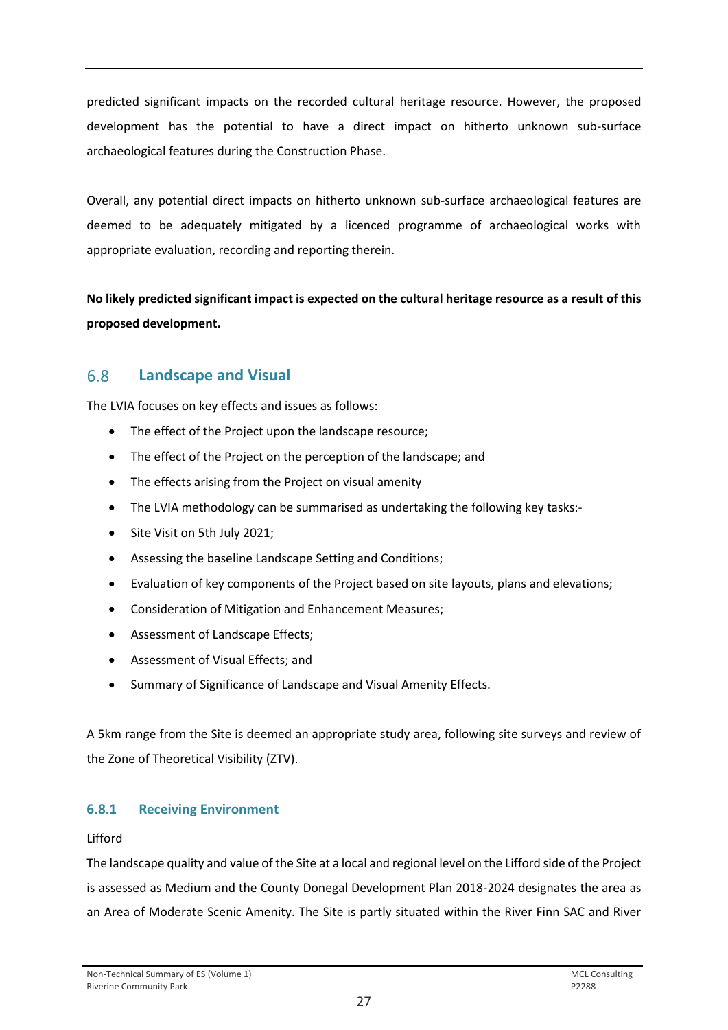predicted significant impacts on the recorded cultural heritage resource. However, the proposed development has the potential to have a direct impact on hitherto unknown sub-surface archaeological features during the Construction Phase.

Overall, any potential direct impacts on hitherto unknown sub-surface archaeological features are deemed to be adequately mitigated by a licenced programme of archaeological works with appropriate evaluation, recording and reporting therein.

**No likely predicted significant impact is expected on the cultural heritage resource as a result of this proposed development.**

#### <span id="page-28-0"></span>6.8 **Landscape and Visual**

The LVIA focuses on key effects and issues as follows:

- The effect of the Project upon the landscape resource;
- The effect of the Project on the perception of the landscape; and
- The effects arising from the Project on visual amenity
- The LVIA methodology can be summarised as undertaking the following key tasks:-
- Site Visit on 5th July 2021;
- Assessing the baseline Landscape Setting and Conditions;
- Evaluation of key components of the Project based on site layouts, plans and elevations;
- Consideration of Mitigation and Enhancement Measures;
- Assessment of Landscape Effects;
- Assessment of Visual Effects; and
- Summary of Significance of Landscape and Visual Amenity Effects.

A 5km range from the Site is deemed an appropriate study area, following site surveys and review of the Zone of Theoretical Visibility (ZTV).

## **6.8.1 Receiving Environment**

## Lifford

The landscape quality and value of the Site at a local and regional level on the Lifford side of the Project is assessed as Medium and the County Donegal Development Plan 2018-2024 designates the area as an Area of Moderate Scenic Amenity. The Site is partly situated within the River Finn SAC and River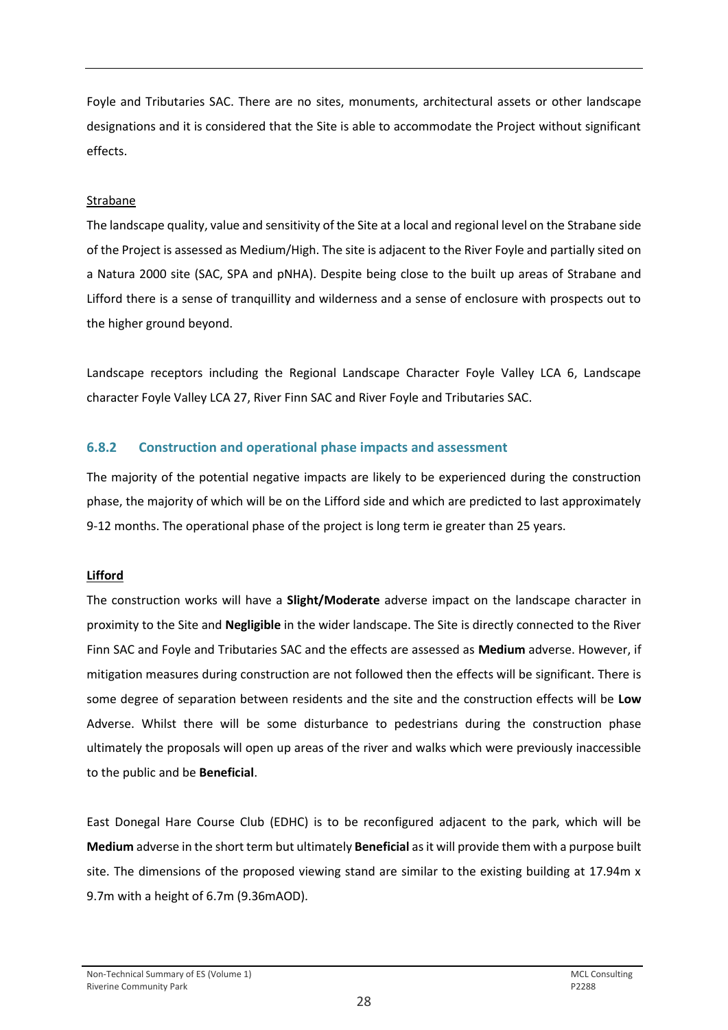Foyle and Tributaries SAC. There are no sites, monuments, architectural assets or other landscape designations and it is considered that the Site is able to accommodate the Project without significant effects.

### Strabane

The landscape quality, value and sensitivity of the Site at a local and regional level on the Strabane side of the Project is assessed as Medium/High. The site is adjacent to the River Foyle and partially sited on a Natura 2000 site (SAC, SPA and pNHA). Despite being close to the built up areas of Strabane and Lifford there is a sense of tranquillity and wilderness and a sense of enclosure with prospects out to the higher ground beyond.

Landscape receptors including the Regional Landscape Character Foyle Valley LCA 6, Landscape character Foyle Valley LCA 27, River Finn SAC and River Foyle and Tributaries SAC.

## **6.8.2 Construction and operational phase impacts and assessment**

The majority of the potential negative impacts are likely to be experienced during the construction phase, the majority of which will be on the Lifford side and which are predicted to last approximately 9-12 months. The operational phase of the project is long term ie greater than 25 years.

### **Lifford**

The construction works will have a **Slight/Moderate** adverse impact on the landscape character in proximity to the Site and **Negligible** in the wider landscape. The Site is directly connected to the River Finn SAC and Foyle and Tributaries SAC and the effects are assessed as **Medium** adverse. However, if mitigation measures during construction are not followed then the effects will be significant. There is some degree of separation between residents and the site and the construction effects will be **Low** Adverse. Whilst there will be some disturbance to pedestrians during the construction phase ultimately the proposals will open up areas of the river and walks which were previously inaccessible to the public and be **Beneficial**.

East Donegal Hare Course Club (EDHC) is to be reconfigured adjacent to the park, which will be **Medium** adverse in the short term but ultimately **Beneficial** as it will provide them with a purpose built site. The dimensions of the proposed viewing stand are similar to the existing building at 17.94m x 9.7m with a height of 6.7m (9.36mAOD).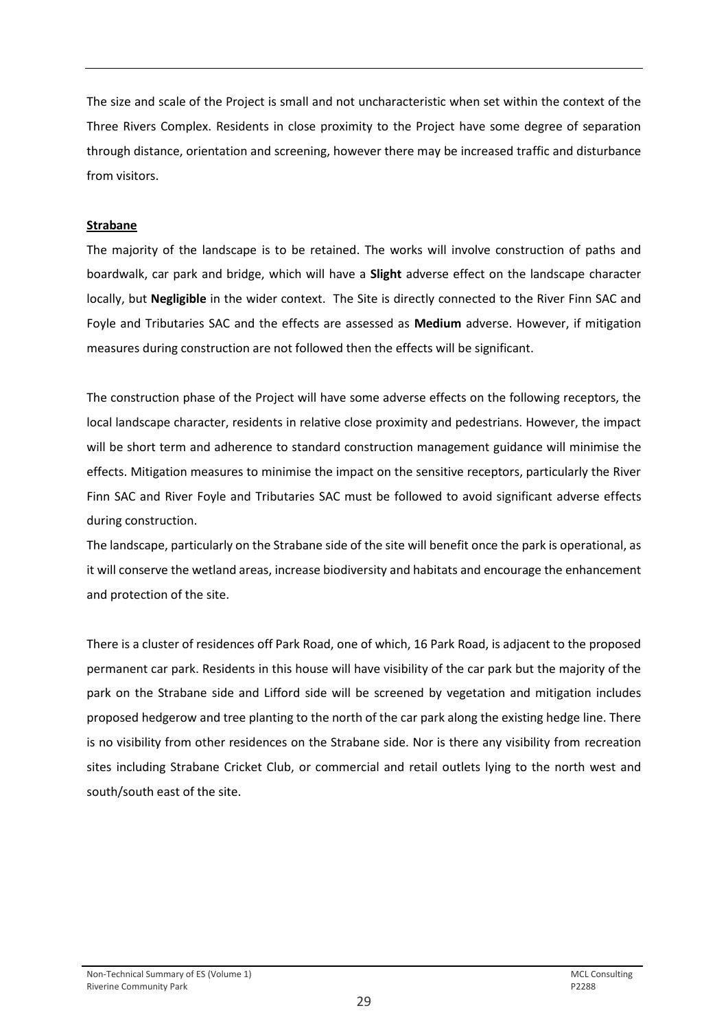The size and scale of the Project is small and not uncharacteristic when set within the context of the Three Rivers Complex. Residents in close proximity to the Project have some degree of separation through distance, orientation and screening, however there may be increased traffic and disturbance from visitors.

### **Strabane**

The majority of the landscape is to be retained. The works will involve construction of paths and boardwalk, car park and bridge, which will have a **Slight** adverse effect on the landscape character locally, but **Negligible** in the wider context. The Site is directly connected to the River Finn SAC and Foyle and Tributaries SAC and the effects are assessed as **Medium** adverse. However, if mitigation measures during construction are not followed then the effects will be significant.

The construction phase of the Project will have some adverse effects on the following receptors, the local landscape character, residents in relative close proximity and pedestrians. However, the impact will be short term and adherence to standard construction management guidance will minimise the effects. Mitigation measures to minimise the impact on the sensitive receptors, particularly the River Finn SAC and River Foyle and Tributaries SAC must be followed to avoid significant adverse effects during construction.

The landscape, particularly on the Strabane side of the site will benefit once the park is operational, as it will conserve the wetland areas, increase biodiversity and habitats and encourage the enhancement and protection of the site.

There is a cluster of residences off Park Road, one of which, 16 Park Road, is adjacent to the proposed permanent car park. Residents in this house will have visibility of the car park but the majority of the park on the Strabane side and Lifford side will be screened by vegetation and mitigation includes proposed hedgerow and tree planting to the north of the car park along the existing hedge line. There is no visibility from other residences on the Strabane side. Nor is there any visibility from recreation sites including Strabane Cricket Club, or commercial and retail outlets lying to the north west and south/south east of the site.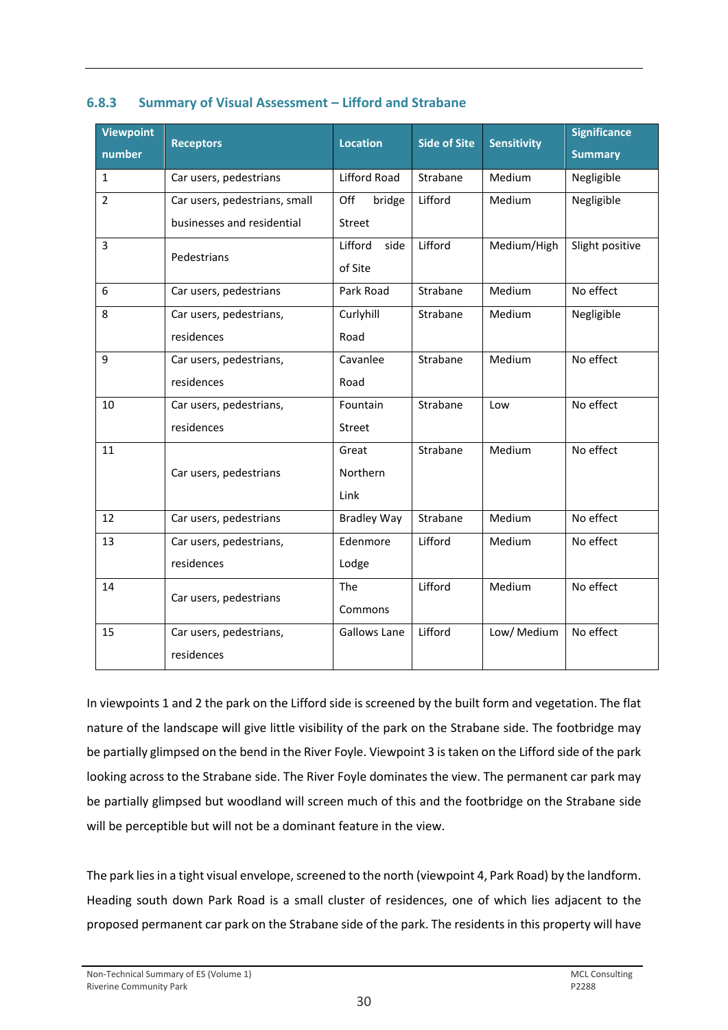| <b>Viewpoint</b><br>number | <b>Receptors</b>                      | <b>Location</b>     | <b>Side of Site</b> | <b>Sensitivity</b> | <b>Significance</b><br><b>Summary</b> |
|----------------------------|---------------------------------------|---------------------|---------------------|--------------------|---------------------------------------|
| $\mathbf{1}$               | Car users, pedestrians                | <b>Lifford Road</b> | Strabane            | Medium             | Negligible                            |
| $\overline{2}$             | Car users, pedestrians, small         | Off<br>bridge       | Lifford             | Medium             | Negligible                            |
|                            | businesses and residential            | <b>Street</b>       |                     |                    |                                       |
| $\overline{3}$             | Pedestrians                           | Lifford<br>side     | Lifford             | Medium/High        | Slight positive                       |
|                            |                                       | of Site             |                     |                    |                                       |
| 6                          | Car users, pedestrians                | Park Road           | Strabane            | Medium             | No effect                             |
| 8                          | Car users, pedestrians,               | Curlyhill           | Strabane            | Medium             | Negligible                            |
|                            | residences                            | Road                |                     |                    |                                       |
| 9                          | Car users, pedestrians,               | Cavanlee            | Strabane            | Medium             | No effect                             |
|                            | residences                            | Road                |                     |                    |                                       |
| 10                         | Car users, pedestrians,               | Fountain            | Strabane            | Low                | No effect                             |
|                            | residences                            | Street              |                     |                    |                                       |
| 11                         |                                       | Great               | Strabane            | Medium             | No effect                             |
|                            | Car users, pedestrians                | Northern            |                     |                    |                                       |
|                            |                                       | Link                |                     |                    |                                       |
| 12                         | Car users, pedestrians                | <b>Bradley Way</b>  | Strabane            | Medium             | No effect                             |
| 13                         | Car users, pedestrians,               | Edenmore            | Lifford             | Medium             | No effect                             |
|                            | residences                            | Lodge               |                     |                    |                                       |
| 14                         | Car users, pedestrians                | The                 | Lifford             | Medium             | No effect                             |
|                            |                                       | Commons             |                     |                    |                                       |
| 15                         | Car users, pedestrians,<br>residences | <b>Gallows Lane</b> | Lifford             | Low/ Medium        | No effect                             |

### **6.8.3 Summary of Visual Assessment – Lifford and Strabane**

In viewpoints 1 and 2 the park on the Lifford side is screened by the built form and vegetation. The flat nature of the landscape will give little visibility of the park on the Strabane side. The footbridge may be partially glimpsed on the bend in the River Foyle. Viewpoint 3 is taken on the Lifford side of the park looking across to the Strabane side. The River Foyle dominates the view. The permanent car park may be partially glimpsed but woodland will screen much of this and the footbridge on the Strabane side will be perceptible but will not be a dominant feature in the view.

The park lies in a tight visual envelope, screened to the north (viewpoint 4, Park Road) by the landform. Heading south down Park Road is a small cluster of residences, one of which lies adjacent to the proposed permanent car park on the Strabane side of the park. The residents in this property will have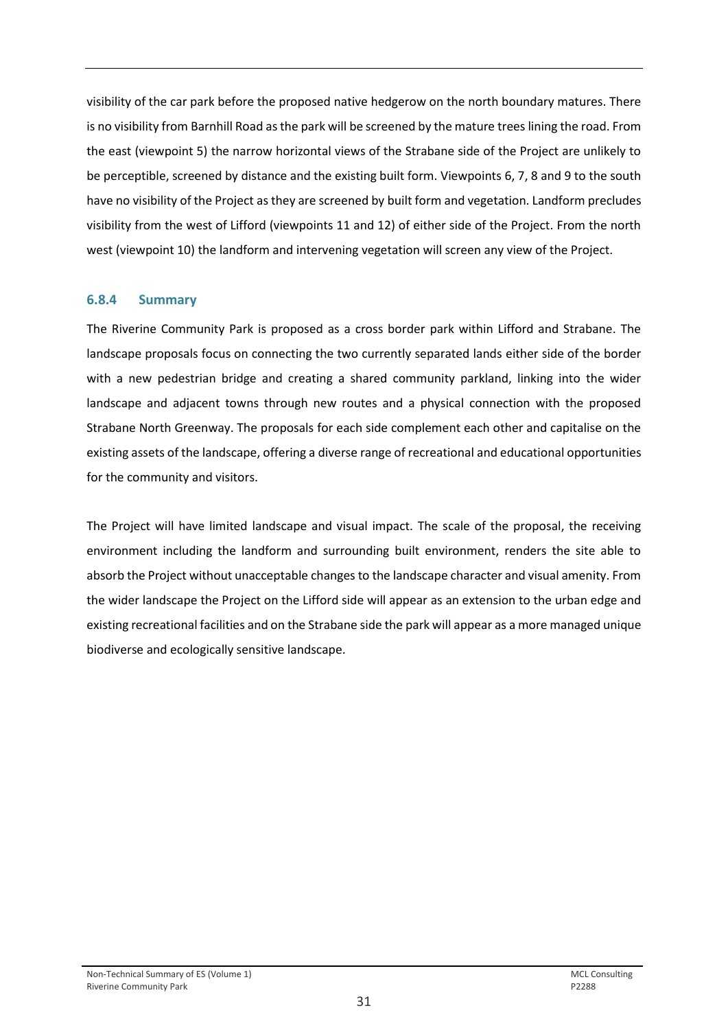visibility of the car park before the proposed native hedgerow on the north boundary matures. There is no visibility from Barnhill Road as the park will be screened by the mature trees lining the road. From the east (viewpoint 5) the narrow horizontal views of the Strabane side of the Project are unlikely to be perceptible, screened by distance and the existing built form. Viewpoints 6, 7, 8 and 9 to the south have no visibility of the Project as they are screened by built form and vegetation. Landform precludes visibility from the west of Lifford (viewpoints 11 and 12) of either side of the Project. From the north west (viewpoint 10) the landform and intervening vegetation will screen any view of the Project.

### **6.8.4 Summary**

The Riverine Community Park is proposed as a cross border park within Lifford and Strabane. The landscape proposals focus on connecting the two currently separated lands either side of the border with a new pedestrian bridge and creating a shared community parkland, linking into the wider landscape and adjacent towns through new routes and a physical connection with the proposed Strabane North Greenway. The proposals for each side complement each other and capitalise on the existing assets of the landscape, offering a diverse range of recreational and educational opportunities for the community and visitors.

The Project will have limited landscape and visual impact. The scale of the proposal, the receiving environment including the landform and surrounding built environment, renders the site able to absorb the Project without unacceptable changes to the landscape character and visual amenity. From the wider landscape the Project on the Lifford side will appear as an extension to the urban edge and existing recreational facilities and on the Strabane side the park will appear as a more managed unique biodiverse and ecologically sensitive landscape.